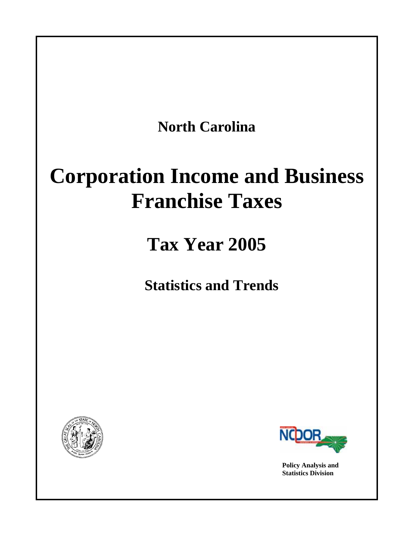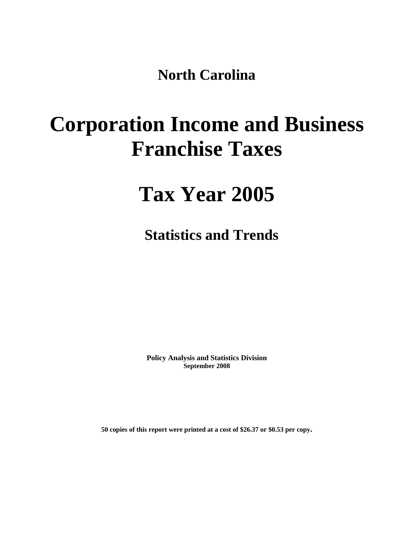**North Carolina** 

# **Corporation Income and Business Franchise Taxes**

## **Tax Year 2005**

**Statistics and Trends** 

**Policy Analysis and Statistics Division September 2008** 

**50 copies of this report were printed at a cost of \$26.37 or \$0.53 per copy.**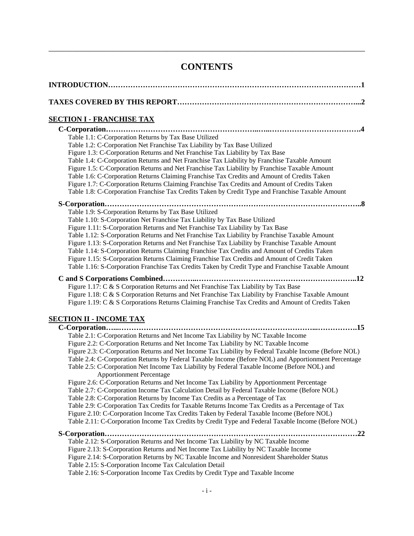## **CONTENTS**

| <u>SECTION I - FRANCHISE TAX</u>                                                                                                                                                                                                                                                                                                                                                                                                                                                                                                                                                                                                                                                                                                                                                                                                                                                                                                                                                                                                                                                                                                                                                                                                                                                                                                                                                                                                                                                  |
|-----------------------------------------------------------------------------------------------------------------------------------------------------------------------------------------------------------------------------------------------------------------------------------------------------------------------------------------------------------------------------------------------------------------------------------------------------------------------------------------------------------------------------------------------------------------------------------------------------------------------------------------------------------------------------------------------------------------------------------------------------------------------------------------------------------------------------------------------------------------------------------------------------------------------------------------------------------------------------------------------------------------------------------------------------------------------------------------------------------------------------------------------------------------------------------------------------------------------------------------------------------------------------------------------------------------------------------------------------------------------------------------------------------------------------------------------------------------------------------|
| Table 1.1: C-Corporation Returns by Tax Base Utilized<br>Table 1.2: C-Corporation Net Franchise Tax Liability by Tax Base Utilized<br>Figure 1.3: C-Corporation Returns and Net Franchise Tax Liability by Tax Base<br>Table 1.4: C-Corporation Returns and Net Franchise Tax Liability by Franchise Taxable Amount<br>Figure 1.5: C-Corporation Returns and Net Franchise Tax Liability by Franchise Taxable Amount<br>Table 1.6: C-Corporation Returns Claiming Franchise Tax Credits and Amount of Credits Taken<br>Figure 1.7: C-Corporation Returns Claiming Franchise Tax Credits and Amount of Credits Taken<br>Table 1.8: C-Corporation Franchise Tax Credits Taken by Credit Type and Franchise Taxable Amount                                                                                                                                                                                                                                                                                                                                                                                                                                                                                                                                                                                                                                                                                                                                                           |
| S-Corporation<br>Table 1.9: S-Corporation Returns by Tax Base Utilized<br>Table 1.10: S-Corporation Net Franchise Tax Liability by Tax Base Utilized<br>Figure 1.11: S-Corporation Returns and Net Franchise Tax Liability by Tax Base<br>Table 1.12: S-Corporation Returns and Net Franchise Tax Liability by Franchise Taxable Amount<br>Figure 1.13: S-Corporation Returns and Net Franchise Tax Liability by Franchise Taxable Amount<br>Table 1.14: S-Corporation Returns Claiming Franchise Tax Credits and Amount of Credits Taken<br>Figure 1.15: S-Corporation Returns Claiming Franchise Tax Credits and Amount of Credit Taken<br>Table 1.16: S-Corporation Franchise Tax Credits Taken by Credit Type and Franchise Taxable Amount                                                                                                                                                                                                                                                                                                                                                                                                                                                                                                                                                                                                                                                                                                                                    |
| Figure 1.17: C & S Corporation Returns and Net Franchise Tax Liability by Tax Base<br>Figure 1.18: C & S Corporation Returns and Net Franchise Tax Liability by Franchise Taxable Amount<br>Figure 1.19: C & S Corporations Returns Claiming Franchise Tax Credits and Amount of Credits Taken<br><u>SECTION II - INCOME TAX</u>                                                                                                                                                                                                                                                                                                                                                                                                                                                                                                                                                                                                                                                                                                                                                                                                                                                                                                                                                                                                                                                                                                                                                  |
| C-Corporation<br>Table 2.1: C-Corporation Returns and Net Income Tax Liability by NC Taxable Income<br>Figure 2.2: C-Corporation Returns and Net Income Tax Liability by NC Taxable Income<br>Figure 2.3: C-Corporation Returns and Net Income Tax Liability by Federal Taxable Income (Before NOL)<br>Table 2.4: C-Corporation Returns by Federal Taxable Income (Before NOL) and Apportionment Percentage<br>Table 2.5: C-Corporation Net Income Tax Liability by Federal Taxable Income (Before NOL) and<br><b>Apportionment Percentage</b><br>Figure 2.6: C-Corporation Returns and Net Income Tax Liability by Apportionment Percentage<br>Table 2.7: C-Corporation Income Tax Calculation Detail by Federal Taxable Income (Before NOL)<br>Table 2.8: C-Corporation Returns by Income Tax Credits as a Percentage of Tax<br>Table 2.9: C-Corporation Tax Credits for Taxable Returns Income Tax Credits as a Percentage of Tax<br>Figure 2.10: C-Corporation Income Tax Credits Taken by Federal Taxable Income (Before NOL)<br>Table 2.11: C-Corporation Income Tax Credits by Credit Type and Federal Taxable Income (Before NOL)<br>Table 2.12: S-Corporation Returns and Net Income Tax Liability by NC Taxable Income<br>Figure 2.13: S-Corporation Returns and Net Income Tax Liability by NC Taxable Income<br>Figure 2.14: S-Corporation Returns by NC Taxable Income and Nonresident Shareholder Status<br>Table 2.15: S-Corporation Income Tax Calculation Detail |
| Table 2.16: S-Corporation Income Tax Credits by Credit Type and Taxable Income                                                                                                                                                                                                                                                                                                                                                                                                                                                                                                                                                                                                                                                                                                                                                                                                                                                                                                                                                                                                                                                                                                                                                                                                                                                                                                                                                                                                    |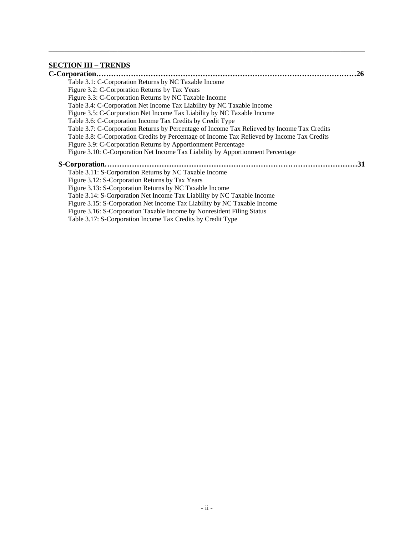### **[SECTION III – TRENDS](#page-29-0)**

| 26                                                                                          |
|---------------------------------------------------------------------------------------------|
| Table 3.1: C-Corporation Returns by NC Taxable Income                                       |
| Figure 3.2: C-Corporation Returns by Tax Years                                              |
| Figure 3.3: C-Corporation Returns by NC Taxable Income                                      |
| Table 3.4: C-Corporation Net Income Tax Liability by NC Taxable Income                      |
| Figure 3.5: C-Corporation Net Income Tax Liability by NC Taxable Income                     |
| Table 3.6: C-Corporation Income Tax Credits by Credit Type                                  |
| Table 3.7: C-Corporation Returns by Percentage of Income Tax Relieved by Income Tax Credits |
| Table 3.8: C-Corporation Credits by Percentage of Income Tax Relieved by Income Tax Credits |
| Figure 3.9: C-Corporation Returns by Apportionment Percentage                               |
| Figure 3.10: C-Corporation Net Income Tax Liability by Apportionment Percentage             |
| .31                                                                                         |
| Table 3.11: S-Corporation Returns by NC Taxable Income                                      |
| Figure 3.12: S-Corporation Returns by Tax Years                                             |
| Figure 3.13: S-Corporation Returns by NC Taxable Income                                     |
| Table 3.14: S-Corporation Net Income Tax Liability by NC Taxable Income                     |
| Figure 3.15: S-Corporation Net Income Tax Liability by NC Taxable Income                    |
| Figure 3.16: S-Corporation Taxable Income by Nonresident Filing Status                      |
| Table 3.17: S-Corporation Income Tax Credits by Credit Type                                 |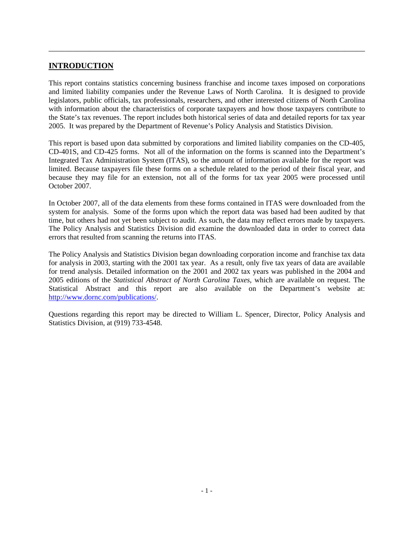### **INTRODUCTION**

This report contains statistics concerning business franchise and income taxes imposed on corporations and limited liability companies under the Revenue Laws of North Carolina. It is designed to provide legislators, public officials, tax professionals, researchers, and other interested citizens of North Carolina with information about the characteristics of corporate taxpayers and how those taxpayers contribute to the State's tax revenues. The report includes both historical series of data and detailed reports for tax year 2005. It was prepared by the Department of Revenue's Policy Analysis and Statistics Division.

<span id="page-4-0"></span>\_\_\_\_\_\_\_\_\_\_\_\_\_\_\_\_\_\_\_\_\_\_\_\_\_\_\_\_\_\_\_\_\_\_\_\_\_\_\_\_\_\_\_\_\_\_\_\_\_\_\_\_\_\_\_\_\_\_\_\_\_\_\_\_\_\_\_\_\_\_\_\_\_\_\_\_\_\_

This report is based upon data submitted by corporations and limited liability companies on the CD-405, CD-401S, and CD-425 forms. Not all of the information on the forms is scanned into the Department's Integrated Tax Administration System (ITAS), so the amount of information available for the report was limited. Because taxpayers file these forms on a schedule related to the period of their fiscal year, and because they may file for an extension, not all of the forms for tax year 2005 were processed until October 2007.

In October 2007, all of the data elements from these forms contained in ITAS were downloaded from the system for analysis. Some of the forms upon which the report data was based had been audited by that time, but others had not yet been subject to audit. As such, the data may reflect errors made by taxpayers. The Policy Analysis and Statistics Division did examine the downloaded data in order to correct data errors that resulted from scanning the returns into ITAS.

The Policy Analysis and Statistics Division began downloading corporation income and franchise tax data for analysis in 2003, starting with the 2001 tax year. As a result, only five tax years of data are available for trend analysis. Detailed information on the 2001 and 2002 tax years was published in the 2004 and 2005 editions of the *Statistical Abstract of North Carolina Taxes*, which are available on request. The Statistical Abstract and this report are also available on the Department's website at: [http://www.dornc.com/publications/.](http://www.dornc.com/publications/)

Questions regarding this report may be directed to William L. Spencer, Director, Policy Analysis and Statistics Division, at (919) 733-4548.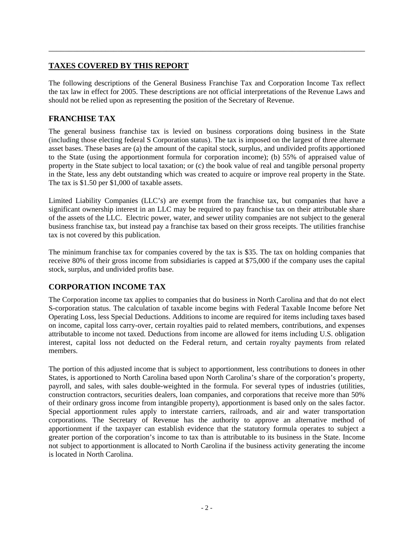### **TAXES COVERED BY THIS REPORT**

The following descriptions of the General Business Franchise Tax and Corporation Income Tax reflect the tax law in effect for 2005. These descriptions are not official interpretations of the Revenue Laws and should not be relied upon as representing the position of the Secretary of Revenue.

<span id="page-5-0"></span>\_\_\_\_\_\_\_\_\_\_\_\_\_\_\_\_\_\_\_\_\_\_\_\_\_\_\_\_\_\_\_\_\_\_\_\_\_\_\_\_\_\_\_\_\_\_\_\_\_\_\_\_\_\_\_\_\_\_\_\_\_\_\_\_\_\_\_\_\_\_\_\_\_\_\_\_\_\_

### **FRANCHISE TAX**

The general business franchise tax is levied on business corporations doing business in the State (including those electing federal S Corporation status). The tax is imposed on the largest of three alternate asset bases. These bases are (a) the amount of the capital stock, surplus, and undivided profits apportioned to the State (using the apportionment formula for corporation income); (b) 55% of appraised value of property in the State subject to local taxation; or (c) the book value of real and tangible personal property in the State, less any debt outstanding which was created to acquire or improve real property in the State. The tax is \$1.50 per \$1,000 of taxable assets.

Limited Liability Companies (LLC's) are exempt from the franchise tax, but companies that have a significant ownership interest in an LLC may be required to pay franchise tax on their attributable share of the assets of the LLC. Electric power, water, and sewer utility companies are not subject to the general business franchise tax, but instead pay a franchise tax based on their gross receipts. The utilities franchise tax is not covered by this publication.

The minimum franchise tax for companies covered by the tax is \$35. The tax on holding companies that receive 80% of their gross income from subsidiaries is capped at \$75,000 if the company uses the capital stock, surplus, and undivided profits base.

### **CORPORATION INCOME TAX**

The Corporation income tax applies to companies that do business in North Carolina and that do not elect S-corporation status. The calculation of taxable income begins with Federal Taxable Income before Net Operating Loss, less Special Deductions. Additions to income are required for items including taxes based on income, capital loss carry-over, certain royalties paid to related members, contributions, and expenses attributable to income not taxed. Deductions from income are allowed for items including U.S. obligation interest, capital loss not deducted on the Federal return, and certain royalty payments from related members.

The portion of this adjusted income that is subject to apportionment, less contributions to donees in other States, is apportioned to North Carolina based upon North Carolina's share of the corporation's property, payroll, and sales, with sales double-weighted in the formula. For several types of industries (utilities, construction contractors, securities dealers, loan companies, and corporations that receive more than 50% of their ordinary gross income from intangible property), apportionment is based only on the sales factor. Special apportionment rules apply to interstate carriers, railroads, and air and water transportation corporations. The Secretary of Revenue has the authority to approve an alternative method of apportionment if the taxpayer can establish evidence that the statutory formula operates to subject a greater portion of the corporation's income to tax than is attributable to its business in the State. Income not subject to apportionment is allocated to North Carolina if the business activity generating the income is located in North Carolina.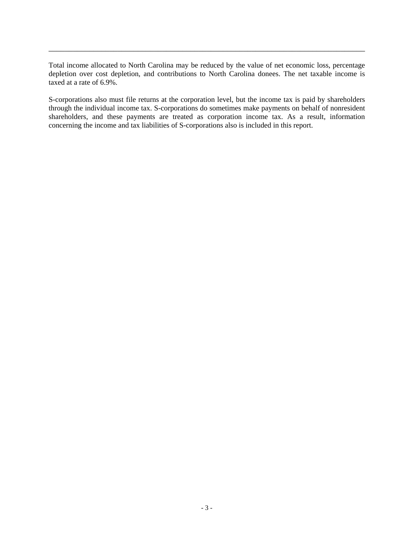Total income allocated to North Carolina may be reduced by the value of net economic loss, percentage depletion over cost depletion, and contributions to North Carolina donees. The net taxable income is taxed at a rate of 6.9%.

\_\_\_\_\_\_\_\_\_\_\_\_\_\_\_\_\_\_\_\_\_\_\_\_\_\_\_\_\_\_\_\_\_\_\_\_\_\_\_\_\_\_\_\_\_\_\_\_\_\_\_\_\_\_\_\_\_\_\_\_\_\_\_\_\_\_\_\_\_\_\_\_\_\_\_\_\_\_

S-corporations also must file returns at the corporation level, but the income tax is paid by shareholders through the individual income tax. S-corporations do sometimes make payments on behalf of nonresident shareholders, and these payments are treated as corporation income tax. As a result, information concerning the income and tax liabilities of S-corporations also is included in this report.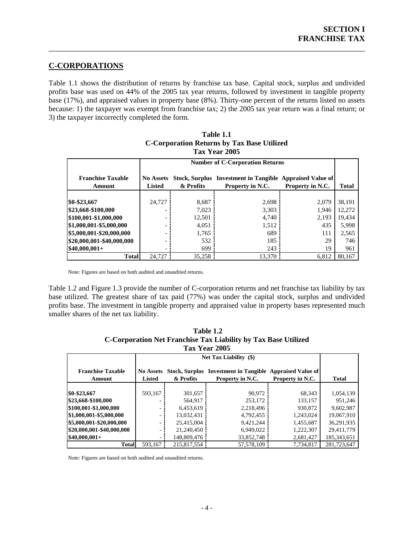### **C-CORPORATIONS**

Table 1.1 shows the distribution of returns by franchise tax base. Capital stock, surplus and undivided profits base was used on 44% of the 2005 tax year returns, followed by investment in tangible property base (17%), and appraised values in property base (8%). Thirty-one percent of the returns listed no assets because: 1) the taxpayer was exempt from franchise tax; 2) the 2005 tax year return was a final return; or 3) the taxpayer incorrectly completed the form.

<span id="page-7-0"></span>\_\_\_\_\_\_\_\_\_\_\_\_\_\_\_\_\_\_\_\_\_\_\_\_\_\_\_\_\_\_\_\_\_\_\_\_\_\_\_\_\_\_\_\_\_\_\_\_\_\_\_\_\_\_\_\_\_\_\_\_\_\_\_\_\_\_\_\_\_\_\_\_\_\_\_\_\_\_

|                                    |                                   | <b>Number of C-Corporation Returns</b> |                                                                              |                  |              |  |
|------------------------------------|-----------------------------------|----------------------------------------|------------------------------------------------------------------------------|------------------|--------------|--|
| <b>Franchise Taxable</b><br>Amount | <b>No Assets</b><br><b>Listed</b> | & Profits                              | Stock, Surplus Investment in Tangible Appraised Value of<br>Property in N.C. | Property in N.C. | <b>Total</b> |  |
|                                    |                                   |                                        |                                                                              |                  |              |  |
| $$0-$23,667$                       | 24,727                            | 8,687                                  | 2,698                                                                        | 2.079            | 38,191       |  |
| \$23,668-\$100,000                 |                                   | 7,023                                  | 3,303                                                                        | 1.946            | 12,272       |  |
| \$100,001-\$1,000,000              |                                   | 12,501                                 | 4,740                                                                        | 2,193            | 19,434       |  |
| \$1,000,001-\$5,000,000            |                                   | 4,051                                  | 1,512                                                                        | 435              | 5,998        |  |
| \$5,000,001-\$20,000,000           |                                   | 1,765                                  | 689                                                                          | 111              | 2,565        |  |
| \$20,000,001-\$40,000,000          |                                   | 532                                    | 185                                                                          | 29               | 746          |  |
| $$40,000,001+$                     |                                   | 699                                    | 243                                                                          | 19               | 961          |  |
| <b>Total</b>                       | 24,727                            | 35.258                                 | 13.370                                                                       | 6.812            | 80.167       |  |

### **Table 1.1 C-Corporation Returns by Tax Base Utilized Tax Year 2005**

Note: Figures are based on both audited and unaudited returns.

Table 1.2 and Figure 1.3 provide the number of C-corporation returns and net franchise tax liability by tax base utilized. The greatest share of tax paid (77%) was under the capital stock, surplus and undivided profits base. The investment in tangible property and appraised value in property bases represented much smaller shares of the net tax liability.

| C-Corporation Net Franchise Tax Liability by Tax Base Utilized |                  |                                                          |                  |                  |              |  |  |
|----------------------------------------------------------------|------------------|----------------------------------------------------------|------------------|------------------|--------------|--|--|
|                                                                |                  |                                                          | Tax Year 2005    |                  |              |  |  |
| <b>Net Tax Liability</b> (\$)                                  |                  |                                                          |                  |                  |              |  |  |
| <b>Franchise Taxable</b>                                       | <b>No Assets</b> | Stock, Surplus Investment in Tangible Appraised Value of |                  |                  |              |  |  |
| Amount                                                         | <b>Listed</b>    | & Profits                                                | Property in N.C. | Property in N.C. | <b>Total</b> |  |  |
|                                                                |                  |                                                          |                  |                  |              |  |  |
| \$0-\$23,667                                                   | 593,167          | 301,657                                                  | 90.972           | 68,343           | 1,054,139    |  |  |
| \$23,668-\$100,000                                             |                  | 564.917                                                  | 253.172          | 133.157          | 951.246      |  |  |
| \$100,001-\$1,000,000                                          |                  | 6,453,619                                                | 2,218,496        | 930,872          | 9.602.987    |  |  |
| \$1,000,001-\$5,000,000                                        |                  | 13.032.431                                               | 4,792,455        | 1.243.024        | 19.067.910   |  |  |
| \$5,000,001-\$20,000,000                                       |                  | 25,415,004                                               | 9,421,244        | 1,455,687        | 36,291,935   |  |  |
| \$20,000,001-\$40,000,000                                      |                  | 21,240,450                                               | 6.949.022        | 1,222,307        | 29,411,779   |  |  |
| $$40,000,001+$                                                 |                  | 148,809,476                                              | 33,852,748       | 2,681,427        | 185.343.651  |  |  |
| <b>Total</b>                                                   | 593,167          | 215,817,554                                              | 57,578,109       | 7,734,817        | 281,723,647  |  |  |

| Table 1.2                                                      |
|----------------------------------------------------------------|
| C-Corporation Net Franchise Tax Liability by Tax Base Utilized |
| <b>Tax Year 2005</b>                                           |

Note: Figures are based on both audited and unaudited returns.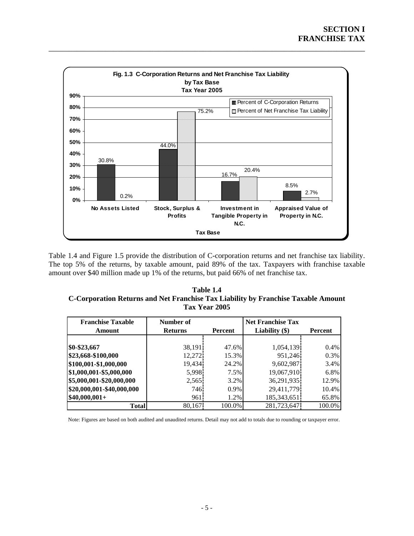<span id="page-8-0"></span>

Table 1.4 and Figure 1.5 provide the distribution of C-corporation returns and net franchise tax liability. The top 5% of the returns, by taxable amount, paid 89% of the tax. Taxpayers with franchise taxable amount over \$40 million made up 1% of the returns, but paid 66% of net franchise tax.

**Table 1.4 C-Corporation Returns and Net Franchise Tax Liability by Franchise Taxable Amount Tax Year 2005** 

| <b>Franchise Taxable</b>  | Number of         |         | <b>Net Franchise Tax</b> |         |
|---------------------------|-------------------|---------|--------------------------|---------|
| Amount                    | <b>Returns</b>    | Percent | Liability $(\$)$         | Percent |
|                           |                   |         |                          |         |
| \$0-\$23,667              | 38,191            | 47.6%   | 1,054,139                | 0.4%    |
| \$23,668-\$100,000        | 12,272            | 15.3%   | 951,246                  | 0.3%    |
| \$100,001-\$1,000,000     | 19,434            | 24.2%   | 9,602,987                | 3.4%    |
| \$1,000,001-\$5,000,000   | 5,998             | 7.5%    | 19,067,910               | 6.8%    |
| \$5,000,001-\$20,000,000  | 2,565             | 3.2%    | 36,291,935               | 12.9%   |
| \$20,000,001-\$40,000,000 | 746.              | $0.9\%$ | 29,411,779               | 10.4%   |
| $$40,000,001+$            | 961 <sup>-1</sup> | 1.2%    | 185, 343, 651            | 65.8%   |
| <b>Total</b>              | 80,167            | 100.0%  | 281,723,647              | 100.0%  |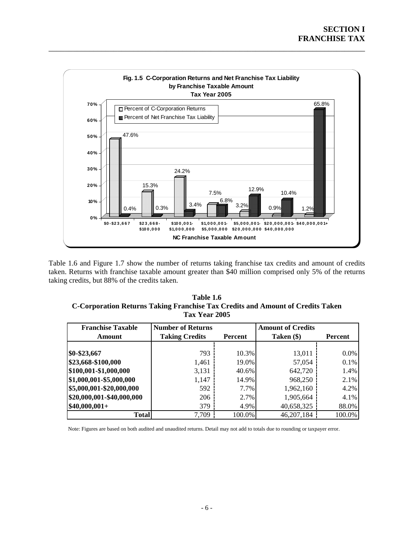<span id="page-9-0"></span>

Table 1.6 and Figure 1.7 show the number of returns taking franchise tax credits and amount of credits taken. Returns with franchise taxable amount greater than \$40 million comprised only 5% of the returns taking credits, but 88% of the credits taken.

| Table 1.6                                                                      |
|--------------------------------------------------------------------------------|
| C-Corporation Returns Taking Franchise Tax Credits and Amount of Credits Taken |
| <b>Tax Year 2005</b>                                                           |

| <b>Franchise Taxable</b>  | <b>Number of Returns</b> |                | <b>Amount of Credits</b> |         |
|---------------------------|--------------------------|----------------|--------------------------|---------|
| Amount                    | <b>Taking Credits</b>    | <b>Percent</b> | Taken (\$)               | Percent |
|                           |                          |                |                          |         |
| \$0-\$23,667              | 793                      | 10.3%          | 13,011                   | $0.0\%$ |
| \$23,668-\$100,000        | 1,461                    | 19.0%          | 57,054                   | 0.1%    |
| \$100,001-\$1,000,000     | 3,131                    | 40.6%          | 642,720                  | 1.4%    |
| \$1,000,001-\$5,000,000   | 1,147                    | 14.9%          | 968,250                  | 2.1%    |
| \$5,000,001-\$20,000,000  | 592                      | $7.7\%$        | 1,962,160                | 4.2%    |
| \$20,000,001-\$40,000,000 | 206                      | 2.7%           | 1,905,664                | 4.1%    |
| $$40,000,001+$            | 379                      | 4.9%           | 40,658,325               | 88.0%   |
| <b>Total</b>              | 7,709                    | 100.0%         | 46,207,184               | 100.0%  |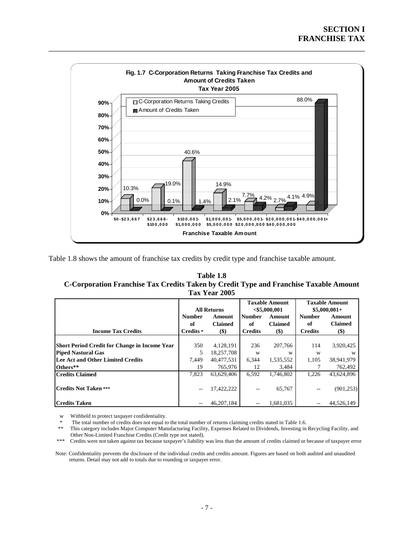<span id="page-10-0"></span>

Table 1.8 shows the amount of franchise tax credits by credit type and franchise taxable amount.

**Table 1.8 C-Corporation Franchise Tax Credits Taken by Credit Type and Franchise Taxable Amount Tax Year 2005** 

|                                                      | <b>All Returns</b> |                | <b>Taxable Amount</b><br>$<$ \$5,000,001 |                | <b>Taxable Amount</b><br>$$5,000,001+$ |                |
|------------------------------------------------------|--------------------|----------------|------------------------------------------|----------------|----------------------------------------|----------------|
|                                                      | <b>Number</b>      | Amount         | <b>Number</b>                            | Amount         | <b>Number</b>                          | Amount         |
|                                                      | оf                 | <b>Claimed</b> | of                                       | <b>Claimed</b> | оf                                     | <b>Claimed</b> |
| <b>Income Tax Credits</b>                            | Credits *          | $($ \$         | <b>Credits</b>                           | $($ \$         | <b>Credits</b>                         | $($ \$)        |
|                                                      |                    |                |                                          |                |                                        |                |
| <b>Short Period Credit for Change in Income Year</b> | 350                | 4,128,191      | 236                                      | 207,766        | 114                                    | 3,920,425      |
| <b>Piped Nastural Gas</b>                            | 5                  | 18,257,708     | W                                        | W              | W                                      | W              |
| Lee Act and Other Limited Credits                    | 7.449              | 40.477.531     | 6,344                                    | 1,535,552      | 1,105                                  | 38,941,979     |
| Others**                                             | 19                 | 765,976        | 12                                       | 3,484          |                                        | 762,492        |
| <b>Credits Claimed</b>                               | 7.823              | 63.629.406     | 6.592                                    | 1.746.802      | 1,226                                  | 43,624,896     |
| <b>Credits Not Taken ***</b>                         | $- -$              | 17,422,222     |                                          | 65,767         |                                        | (901, 253)     |
| <b>Credits Taken</b>                                 |                    | 46.207.184     |                                          | 1,681,035      |                                        | 44,526,149     |

w Withheld to protect taxpayer confidentiality.

The total number of credits does not equal to the total number of returns claiming credits stated in Table 1.6.

 \*\* This category includes Major Computer Manufacturing Facility, Expenses Related to Dividends, Investing in Recycling Facility, and Other Non-Limited Franchise Credits (Credit type not stated).

\*\*\* Credits were not taken against tax because taxpayer's liability was less than the amount of credits claimed or because of taxpayer error

 Note: Confidentiality prevents the disclosure of the individual credits and credits amount. Figures are based on both audited and unaudited returns. Detail may not add to totals due to rounding or taxpayer error.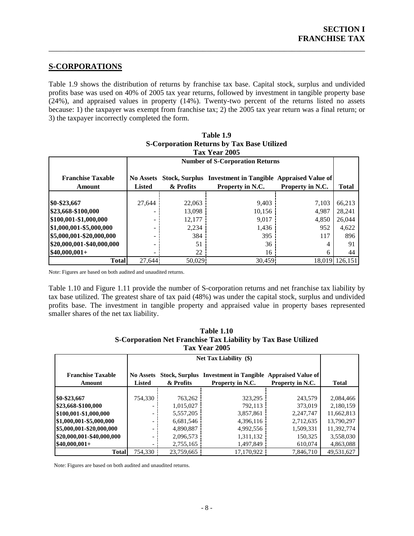### **S-CORPORATIONS**

Table 1.9 shows the distribution of returns by franchise tax base. Capital stock, surplus and undivided profits base was used on 40% of 2005 tax year returns, followed by investment in tangible property base  $(24%)$ , and appraised values in property  $(14%)$ . Twenty-two percent of the returns listed no assets because: 1) the taxpayer was exempt from franchise tax; 2) the 2005 tax year return was a final return; or 3) the taxpayer incorrectly completed the form.

<span id="page-11-0"></span>\_\_\_\_\_\_\_\_\_\_\_\_\_\_\_\_\_\_\_\_\_\_\_\_\_\_\_\_\_\_\_\_\_\_\_\_\_\_\_\_\_\_\_\_\_\_\_\_\_\_\_\_\_\_\_\_\_\_\_\_\_\_\_\_\_\_\_\_\_\_\_\_\_\_\_\_\_\_

| Tax Year 2005                      |                                   |                                        |                                                                      |                  |                |  |
|------------------------------------|-----------------------------------|----------------------------------------|----------------------------------------------------------------------|------------------|----------------|--|
|                                    |                                   | <b>Number of S-Corporation Returns</b> |                                                                      |                  |                |  |
| <b>Franchise Taxable</b><br>Amount | <b>No Assets</b><br><b>Listed</b> | <b>Stock, Surplus</b><br>& Profits     | <b>Investment in Tangible Appraised Value of</b><br>Property in N.C. | Property in N.C. | Total          |  |
| \$0-\$23,667                       | 27,644                            | 22,063                                 | 9,403                                                                | 7.103            | 66,213         |  |
| \$23,668-\$100,000                 |                                   | 13,098                                 | 10,156                                                               | 4,987            | 28,241         |  |
| \$100,001-\$1,000,000              |                                   | 12.177                                 | 9,017                                                                | 4,850            | 26,044         |  |
| \$1,000,001-\$5,000,000            |                                   | 2,234                                  | 1,436                                                                | 952              | 4,622          |  |
| \$5,000,001-\$20,000,000           |                                   | 384                                    | 395                                                                  | 117              | 896            |  |
| \$20,000,001-\$40,000,000          |                                   | 51                                     | 36                                                                   |                  | 91             |  |
| $$40,000,001+$                     |                                   | 22                                     | 16                                                                   | 6                | 44             |  |
| <b>Total</b>                       | 27.644                            | 50,029                                 | 30.459                                                               |                  | 18.019 126.151 |  |

### **Table 1.9 S-Corporation Returns by Tax Base Utilized**

Note: Figures are based on both audited and unaudited returns.

Table 1.10 and Figure 1.11 provide the number of S-corporation returns and net franchise tax liability by tax base utilized. The greatest share of tax paid (48%) was under the capital stock, surplus and undivided profits base. The investment in tangible property and appraised value in property bases represented smaller shares of the net tax liability.

| S-Corporation Net Franchise Tax Liability by Tax Base Utilized<br>Tax Year 2005 |                               |            |                                                          |                  |              |  |
|---------------------------------------------------------------------------------|-------------------------------|------------|----------------------------------------------------------|------------------|--------------|--|
|                                                                                 | <b>Net Tax Liability</b> (\$) |            |                                                          |                  |              |  |
| <b>Franchise Taxable</b>                                                        | <b>No Assets</b>              |            | Stock, Surplus Investment in Tangible Appraised Value of |                  |              |  |
| Amount                                                                          | <b>Listed</b>                 | & Profits  | Property in N.C.                                         | Property in N.C. | <b>Total</b> |  |
|                                                                                 |                               |            |                                                          |                  |              |  |
| \$0-\$23,667                                                                    | 754,330                       | 763,262    | 323,295                                                  | 243,579          | 2,084,466    |  |
| \$23,668-\$100,000                                                              |                               | 1,015,027  | 792.113                                                  | 373,019          | 2,180,159    |  |
| \$100,001-\$1,000,000                                                           |                               | 5,557,205  | 3,857,861                                                | 2,247,747        | 11,662,813   |  |
| \$1,000,001-\$5,000,000                                                         |                               | 6,681,546  | 4,396,116                                                | 2,712,635        | 13,790,297   |  |
| \$5,000,001-\$20,000,000                                                        |                               | 4,890,887  | 4,992,556                                                | 1,509,331        | 11,392,774   |  |
| \$20,000,001-\$40,000,000                                                       |                               | 2,096,573  | 1,311,132                                                | 150,325          | 3,558,030    |  |
| $$40,000,001+$                                                                  |                               | 2,755,165  | 1,497,849                                                | 610,074          | 4,863,088    |  |
| <b>Total</b>                                                                    | 754.330                       | 23,759,665 | 17,170,922                                               | 7.846.710        | 49,531,627   |  |

# **Table 1.10**

Note: Figures are based on both audited and unaudited returns.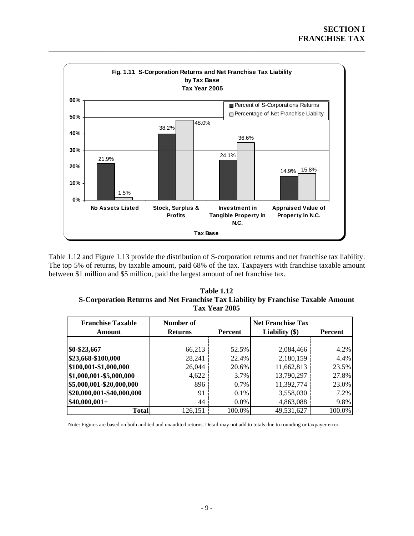<span id="page-12-0"></span>

Table 1.12 and Figure 1.13 provide the distribution of S-corporation returns and net franchise tax liability. The top 5% of returns, by taxable amount, paid 68% of the tax. Taxpayers with franchise taxable amount between \$1 million and \$5 million, paid the largest amount of net franchise tax.

| <b>Table 1.12</b>                                                                 |
|-----------------------------------------------------------------------------------|
| S-Corporation Returns and Net Franchise Tax Liability by Franchise Taxable Amount |
| <b>Tax Year 2005</b>                                                              |

| <b>Franchise Taxable</b><br>Amount | Number of<br><b>Returns</b> |         | <b>Net Franchise Tax</b><br>Liability $(\$)$<br>Percent |        |  |
|------------------------------------|-----------------------------|---------|---------------------------------------------------------|--------|--|
|                                    |                             |         |                                                         |        |  |
| \$0-\$23,667                       | 66,213                      | 52.5%   | 2,084,466                                               | 4.2%   |  |
| \$23,668-\$100,000                 | 28,241                      | 22.4%   | 2,180,159                                               | 4.4%   |  |
| \$100,001-\$1,000,000              | 26,044                      | 20.6%   | 11,662,813                                              | 23.5%  |  |
| \$1,000,001-\$5,000,000            | 4,622                       | 3.7%    | 13,790,297                                              | 27.8%  |  |
| \$5,000,001-\$20,000,000           | 896                         | 0.7%    | 11,392,774                                              | 23.0%  |  |
| \$20,000,001-\$40,000,000          | 91                          | $0.1\%$ | 3,558,030                                               | 7.2%   |  |
| $$40,000,001+$                     | 44                          | $0.0\%$ | 4,863,088                                               | 9.8%   |  |
| <b>Total</b>                       | 126,151                     | 100.0%  | 49,531,627                                              | 100.0% |  |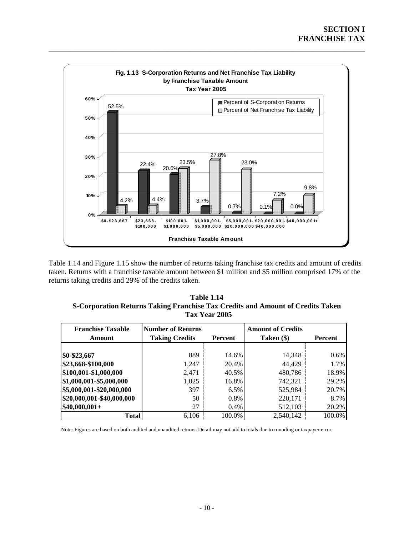<span id="page-13-0"></span>

taken. Returns with a franchise taxable amount between \$1 million and \$5 million comprised 17% of the Table 1.14 and Figure 1.15 show the number of returns taking franchise tax credits and amount of credits returns taking credits and 29% of the credits taken.

| Table 1.14                                                                     |
|--------------------------------------------------------------------------------|
| S-Corporation Returns Taking Franchise Tax Credits and Amount of Credits Taken |
| Tax Year 2005                                                                  |

| <b>Franchise Taxable</b><br>Amount | <b>Number of Returns</b><br><b>Taking Credits</b> | Percent | <b>Amount of Credits</b><br>Taken (\$) | Percent |
|------------------------------------|---------------------------------------------------|---------|----------------------------------------|---------|
|                                    |                                                   |         |                                        |         |
| \$0-\$23,667                       | 889                                               | 14.6%   | 14,348                                 | $0.6\%$ |
| \$23,668-\$100,000                 | 1,247                                             | 20.4%   | 44,429                                 | 1.7%    |
| \$100,001-\$1,000,000              | 2,471                                             | 40.5%   | 480,786                                | 18.9%   |
| \$1,000,001-\$5,000,000            | 1,025                                             | 16.8%   | 742,321                                | 29.2%   |
| \$5,000,001-\$20,000,000           | 397                                               | 6.5%    | 525,984                                | 20.7%   |
| \$20,000,001-\$40,000,000          | 50                                                | 0.8%    | 220,171                                | 8.7%    |
| $$40,000,001+$                     | 27                                                | $0.4\%$ | 512,103                                | 20.2%   |
| <b>Total</b>                       | 6,106                                             | 100.0%  | 2,540,142                              | 100.0%  |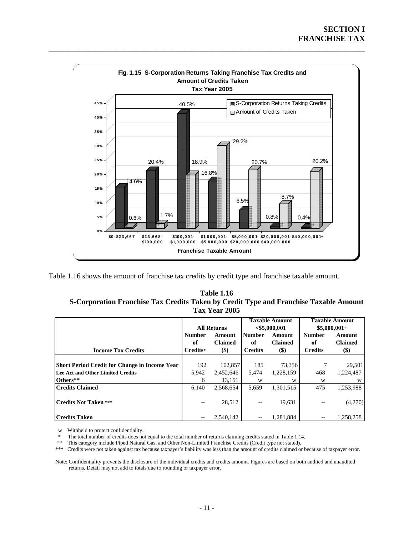<span id="page-14-0"></span>

Table 1.16 shows the amount of franchise tax credits by credit type and franchise taxable amount.

| <b>Table 1.16</b>                                                                     |
|---------------------------------------------------------------------------------------|
| S-Corporation Franchise Tax Credits Taken by Credit Type and Franchise Taxable Amount |
| Tax Year 2005                                                                         |

|                                                      |               |                    |                 | <b>Taxable Amount</b> | <b>Taxable Amount</b> |                |
|------------------------------------------------------|---------------|--------------------|-----------------|-----------------------|-----------------------|----------------|
|                                                      |               | <b>All Returns</b> | $<$ \$5,000,001 |                       | $$5,000,001+$         |                |
|                                                      | <b>Number</b> | Amount             | <b>Number</b>   | Amount                | <b>Number</b>         | <b>Amount</b>  |
|                                                      | of            | <b>Claimed</b>     | of              | <b>Claimed</b>        | of                    | <b>Claimed</b> |
| <b>Income Tax Credits</b>                            | Credits*      | $(\$)$             | <b>Credits</b>  | $($)$                 | <b>Credits</b>        | $(\$)$         |
|                                                      |               |                    |                 |                       |                       |                |
| <b>Short Period Credit for Change in Income Year</b> | 192           | 102,857            | 185             | 73,356                |                       | 29,501         |
| Lee Act and Other Limited Credits                    | 5,942         | 2,452,646          | 5,474           | 1,228,159             | 468                   | 1,224,487      |
| Others**                                             | 6             | 13.151             | W               | W                     | W                     | W              |
| <b>Credits Claimed</b>                               | 6.140         | 2,568,654          | 5,659           | 1,301,515             | 475                   | 1,253,988      |
|                                                      |               |                    |                 |                       |                       |                |
| <b>Credits Not Taken ***</b>                         | --            | 28,512             | --              | 19,631                |                       | (4,270)        |
|                                                      |               |                    |                 |                       |                       |                |
| <b>Credits Taken</b>                                 |               | 2.540.142          |                 | 1.281.884             |                       | 1,258,258      |

w Withheld to protect confidentiality.

\* The total number of credits does not equal to the total number of returns claiming credits stated in Table 1.14.

\*\* This category include Piped Natural Gas, and Other Non-Limited Franchise Credits (Credit type not stated).<br>\*\*\* Credits were not taken against tax because taxpayer's liability was less than the amount of credits claimed

\*\*\* Credits were not taken against tax because taxpayer's liability was less than the amount of credits claimed or because of taxpayer error.

Note: Confidentiality prevents the disclosure of the individual credits and credits amount. Figures are based on both audited and unaudited returns. Detail may not add to totals due to rounding or taxpayer error.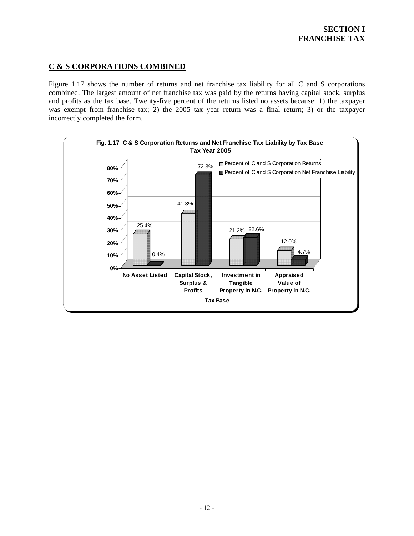### <span id="page-15-0"></span>**C & S CORPORATIONS COMBINED**

Figure 1.17 shows the number of returns and net franchise tax liability for all C and S corporations combined. The largest amount of net franchise tax was paid by the returns having capital stock, surplus and profits as the tax base. Twenty-five percent of the returns listed no assets because: 1) the taxpayer was exempt from franchise tax; 2) the 2005 tax year return was a final return; 3) or the taxpayer incorrectly completed the form.

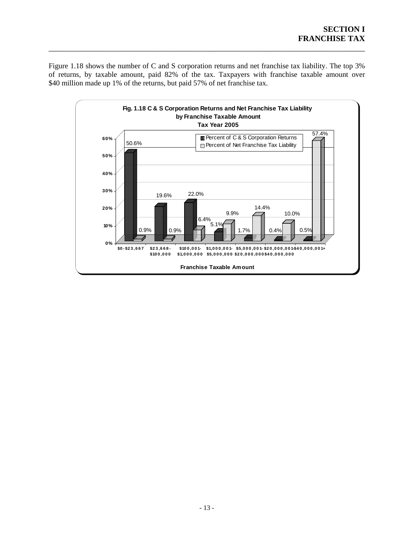<span id="page-16-0"></span>Figure 1.18 shows the number of C and S corporation returns and net franchise tax liability. The top 3% of returns, by taxable amount, paid 82% of the tax. Taxpayers with franchise taxable amount over \$40 million made up 1% of the returns, but paid 57% of net franchise tax.

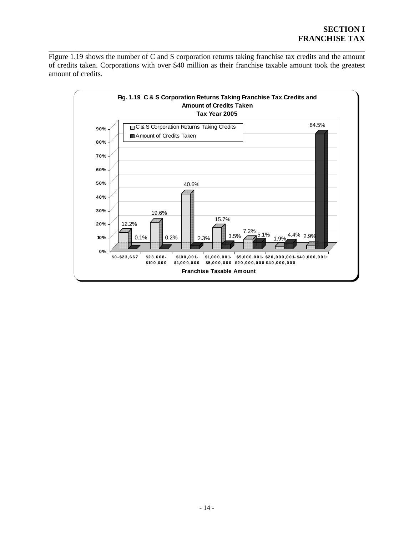### **SECTION I FRANCHISE TAX**

<span id="page-17-0"></span>Figure 1.19 shows the number of C and S corporation returns taking franchise tax credits and the amount of credits taken. Corporations with over \$40 million as their franchise taxable amount took the greatest mount of credits. a

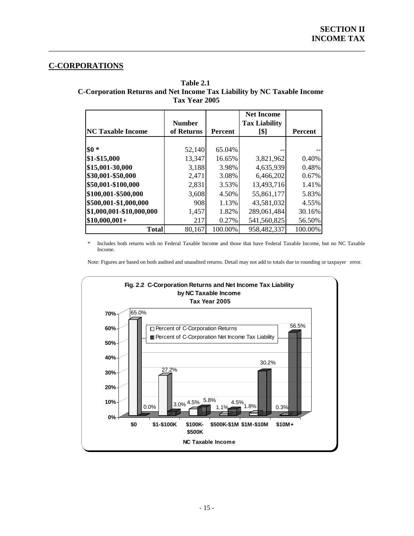### **C-CORPORATIONS**

 **Table 2.1 C-Corporation Returns and Net Income Tax Liability by NC Taxable Income Tax Year 2005** 

<span id="page-18-0"></span>\_\_\_\_\_\_\_\_\_\_\_\_\_\_\_\_\_\_\_\_\_\_\_\_\_\_\_\_\_\_\_\_\_\_\_\_\_\_\_\_\_\_\_\_\_\_\_\_\_\_\_\_\_\_\_\_\_\_\_\_\_\_\_\_\_\_\_\_\_\_\_\_\_\_\_\_\_\_

| <b>NC Taxable Income</b> | <b>Number</b><br>of Returns | <b>Percent</b> | <b>Net Income</b><br><b>Tax Liability</b><br>[\$] | <b>Percent</b> |
|--------------------------|-----------------------------|----------------|---------------------------------------------------|----------------|
|                          |                             |                |                                                   |                |
| $$0*$                    | 52,140                      | 65.04%         |                                                   |                |
| \$1-\$15,000             | 13,347                      | 16.65%         | 3,821,962                                         | 0.40%          |
| \$15,001-30,000          | 3,188                       | 3.98%          | 4,635,939                                         | 0.48%          |
| \$30,001-\$50,000        | 2,471                       | 3.08%          | 6,466,202                                         | 0.67%          |
| \$50,001-\$100,000       | 2,831                       | 3.53%          | 13,493,716                                        | 1.41%          |
| \$100,001-\$500,000      | 3,608                       | 4.50%          | 55,861,177                                        | 5.83%          |
| \$500,001-\$1,000,000    | 908                         | 1.13%          | 43,581,032                                        | 4.55%          |
| \$1,000,001-\$10,000,000 | 1,457                       | 1.82%          | 289,061,484                                       | 30.16%         |
| $$10,000,001+$           | 217                         | 0.27%          | 541,560,825                                       | 56.50%         |
| <b>Total</b>             | 80,167                      | 100.00%        | 958,482,337                                       | 100.00%        |

\* Includes both returns with no Federal Taxable Income and those that have Federal Taxable Income, but no NC Taxable Income.

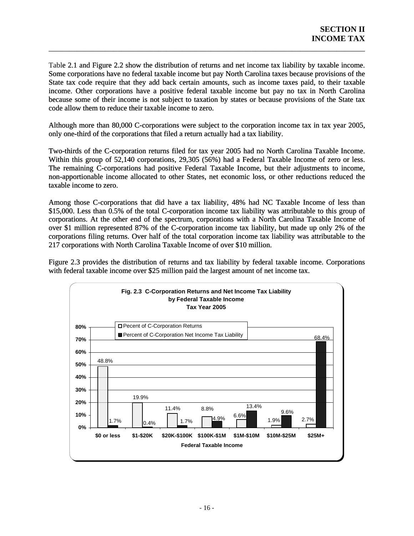Table 2.1 and Figure 2.2 show the distribution of returns and net income tax liability by taxable income. Some corporations have no federal taxable income but pay North Carolina taxes because provisions of the State tax code require that they add back certain amounts, such as income taxes paid, to their taxable income. Other corporations have a positive federal taxable income but pay no tax in North Carolina because some of their income is not subject to taxation by states or because provisions of the State tax code allow them to reduce their taxable income to zero.

<span id="page-19-0"></span>\_\_\_\_\_\_\_\_\_\_\_\_\_\_\_\_\_\_\_\_\_\_\_\_\_\_\_\_\_\_\_\_\_\_\_\_\_\_\_\_\_\_\_\_\_\_\_\_\_\_\_\_\_\_\_\_\_\_\_\_\_\_\_\_\_\_\_\_\_\_\_\_\_\_\_\_\_\_

Although more than 80,000 C-corporations were subject to the corporation income tax in tax year 2005, only one-third of the corporations that filed a return actually had a tax liability.

Two-thirds of the C-corporation returns filed for tax year 2005 had no North Carolina Taxable Income. Within this group of 52,140 corporations, 29,305 (56%) had a Federal Taxable Income of zero or less. The remaining C-corporations had positive Federal Taxable Income, but their adjustments to income, non-apportionable income allocated to other States, net economic loss, or other reductions reduced the taxable income to zero.

Among those C-corporations that did have a tax liability, 48% had NC Taxable Income of less than \$15,000. Less than 0.5% of the total C-corporation income tax liability was attributable to this group of corporations. At the other end of the spectrum, corporations with a North Carolina Taxable Income of over \$1 million represented 87% of the C-corporation income tax liability, but made up only 2% of the corporations filing returns. Over half of the total corporation income tax liability was attributable to the 217 corporations with North Carolina Taxable Income of over \$10 million.

Figure 2.3 provides the distribution of returns and tax liability by federal taxable income. Corporations with federal taxable income over \$25 million paid the largest amount of net income tax.

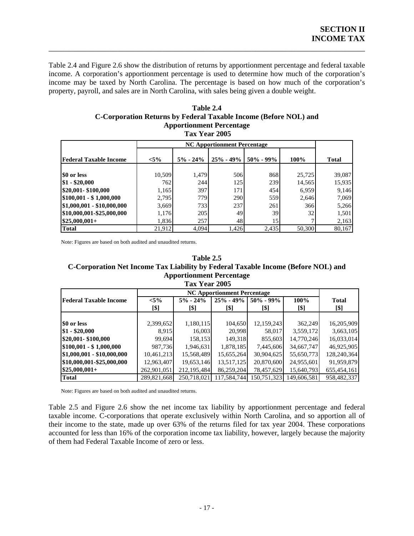Table 2.4 and Figure 2.6 show the distribution of returns by apportionment percentage and federal taxable income. A corporation's apportionment percentage is used to determine how much of the corporation's income may be taxed by North Carolina. The percentage is based on how much of the corporation's property, payroll, and sales are in North Carolina, with sales being given a double weight.

<span id="page-20-0"></span>\_\_\_\_\_\_\_\_\_\_\_\_\_\_\_\_\_\_\_\_\_\_\_\_\_\_\_\_\_\_\_\_\_\_\_\_\_\_\_\_\_\_\_\_\_\_\_\_\_\_\_\_\_\_\_\_\_\_\_\_\_\_\_\_\_\_\_\_\_\_\_\_\_\_\_\_\_\_

### **Table 2.4 C-Corporation Returns by Federal Taxable Income (Before NOL) and Apportionment Percentage**

 **Tax Year 2005** 

| <b>Federal Taxable Income</b> | $< 5\%$ | $5\% - 24\%$ | $25\% - 49\%$ | $50\% - 99\%$ | 100%   | <b>Total</b> |
|-------------------------------|---------|--------------|---------------|---------------|--------|--------------|
|                               |         |              |               |               |        |              |
| \$0 or less                   | 10,509  | 1,479        | 506           | 868           | 25,725 | 39,087       |
| $$1 - $20,000$                | 762     | 244          | 125           | 239           | 14,565 | 15,935       |
| \$20,001-\$100,000            | 1,165   | 397          | 171           | 454           | 6,959  | 9,146        |
| $$100,001 - $1,000,000$       | 2,795   | 779          | 290           | 559           | 2,646  | 7,069        |
| \$1,000,001 - \$10,000,000    | 3,669   | 733          | 237           | 261           | 366    | 5,266        |
| \$10,000,001-\$25,000,000     | 1,176   | 205          | 49            | 39            | 32     | 1,501        |
| $$25,000,001+$                | 1,836   | 257          | 48            | 15            | 7      | 2,163        |
| <b>Total</b>                  | 21,912  | 4,094        | 1,426         | 2,435         | 50,300 | 80,167       |

Note: Figures are based on both audited and unaudited returns.

#### **Table 2.5**  C-Corporation Net Income Tax Liability by Federal Taxable Income (Before NOL) and **Apportionment Percentage Tax Year 2005**

| <b>Federal Taxable Income</b> | $< 5\%$     | $5\% - 24\%$ | $25\% - 49\%$ | $50\% - 99\%$ | 100%        | <b>Total</b> |
|-------------------------------|-------------|--------------|---------------|---------------|-------------|--------------|
|                               | [\$]        | [\$]         | [\$]          | [\$]          | [\$]        | [\$]         |
|                               |             |              |               |               |             |              |
| \$0 or less                   | 2,399,652   | 1,180,115    | 104,650       | 12,159,243    | 362,249     | 16,205,909   |
| $$1 - $20,000$                | 8,915       | 16,003       | 20,998        | 58,017        | 3,559,172   | 3,663,105    |
| \$20,001-\$100,000            | 99,694      | 158,153      | 149,318       | 855,603       | 14,770,246  | 16,033,014   |
| $$100,001 - $1,000,000$       | 987,736     | 1,946,631    | 1,878,185     | 7,445,606     | 34,667,747  | 46,925,905   |
| \$1,000,001 - \$10,000,000    | 10,461,213  | 15,568,489   | 15,655,264    | 30,904,625    | 55,650,773  | 128,240,364  |
| \$10,000,001-\$25,000,000     | 12,963,407  | 19,653,146   | 13,517,125    | 20,870,600    | 24,955,601  | 91,959,879   |
| $$25,000,001+$                | 262,901,051 | 212.195.484  | 86,259,204    | 78,457,629    | 15,640,793  | 655,454,161  |
| <b>Total</b>                  | 289,821,668 | 250,718,021  | 117,584,744   | 150.751.323   | 149,606,581 | 958,482,337  |

Note: Figures are based on both audited and unaudited returns.

Table 2.5 and Figure 2.6 show the net income tax liability by apportionment percentage and federal taxable income. C-corporations that operate exclusively within North Carolina, and so apportion all of their income to the state, made up over 63% of the returns filed for tax year 2004. These corporations accounted for less than 16% of the corporation income tax liability, however, largely because the majority of them had Federal Taxable Income of zero or less.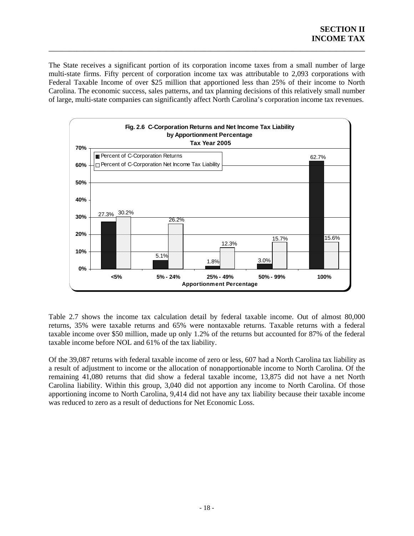The State receives a significant portion of its corporation income taxes from a small number of large multi-state firms. Fifty percent of corporation income tax was attributable to 2,093 corporations with Federal Taxable Income of over \$25 million that apportioned less than 25% of their income to North Carolina. The economic success, sales patterns, and tax planning decisions of this relatively small number of large, multi-state companies can significantly affect North Carolina's corporation income tax revenues.

<span id="page-21-0"></span>\_\_\_\_\_\_\_\_\_\_\_\_\_\_\_\_\_\_\_\_\_\_\_\_\_\_\_\_\_\_\_\_\_\_\_\_\_\_\_\_\_\_\_\_\_\_\_\_\_\_\_\_\_\_\_\_\_\_\_\_\_\_\_\_\_\_\_\_\_\_\_\_\_\_\_\_\_\_



Table 2.7 shows the income tax calculation detail by federal taxable income. Out of almost 80,000 returns, 35% were taxable returns and 65% were nontaxable returns. Taxable returns with a federal taxable income over \$50 million, made up only 1.2% of the returns but accounted for 87% of the federal taxable income before NOL and 61% of the tax liability.

Of the 39,087 returns with federal taxable income of zero or less, 607 had a North Carolina tax liability as a result of adjustment to income or the allocation of nonapportionable income to North Carolina. Of the remaining 41,080 returns that did show a federal taxable income, 13,875 did not have a net North Carolina liability. Within this group, 3,040 did not apportion any income to North Carolina. Of those apportioning income to North Carolina, 9,414 did not have any tax liability because their taxable income was reduced to zero as a result of deductions for Net Economic Loss.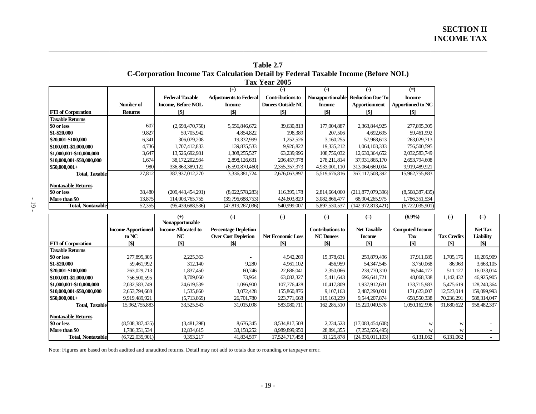|                           | Tax Year 2005  |                           |                               |                          |                  |                         |                          |  |  |  |
|---------------------------|----------------|---------------------------|-------------------------------|--------------------------|------------------|-------------------------|--------------------------|--|--|--|
|                           |                |                           | $^{(+)}$                      | (-)                      | ( – )            | (-)                     | $(=)$                    |  |  |  |
|                           |                | <b>Federal Taxable</b>    | <b>Adjustments to Federal</b> | <b>Contributions to</b>  | Nonapportionable | <b>Reduction Due To</b> | <b>Income</b>            |  |  |  |
|                           | Number of      | <b>Income, Before NOL</b> | <b>Income</b>                 | <b>Donees Outside NC</b> | <b>Income</b>    | Apportionment           | <b>Apportioned to NC</b> |  |  |  |
| <b>FII</b> of Corporation | <b>Returns</b> | [\$]                      | [\$]                          | [\$]                     | [\$]             | [\$]                    | [\$]                     |  |  |  |
| <b>Taxable Returns</b>    |                |                           |                               |                          |                  |                         |                          |  |  |  |
| \$0 or less               | 607            | (2,698,470,750)           | 5,556,846,672                 | 39,630,813               | 177,004,887      | 2,363,844,925           | 277,895,305              |  |  |  |
| \$1-\$20,000              | 9,827          | 59,705,942                | 4,854,822                     | 198,389                  | 207,506          | 4,692,695               | 59,461,992               |  |  |  |
| \$20,001-\$100,000        | 6,341          | 306,079,208               | 19,332,999                    | 1,252,526                | 3,160,255        | 57,968,613              | 263,029,713              |  |  |  |
| \$100,001-\$1,000,000     | 4,736          | 1,707,412,833             | 139,835,533                   | 9,926,822                | 19,335,212       | 1,064,103,333           | 756,500,595              |  |  |  |
| \$1,000,001-\$10,000,000  | 3,647          | 13,526,692,981            | 1,308,255,527                 | 63,239,996               | 108,756,032      | 12,630,364,652          | 2,032,583,749            |  |  |  |
| \$10,000,001-\$50,000,000 | 1,674          | 38, 172, 202, 934         | 2,898,126,631                 | 206,457,978              | 278, 211, 814    | 37,931,865,170          | 2,653,794,608            |  |  |  |
| $$50,000,001+$            | 980            | 336,863,389,122           | (6,590,870,460)               | 2,355,357,373            | 4,933,001,110    | 313,064,669,004         | 9,919,489,921            |  |  |  |
| <b>Total, Taxable</b>     | 27,812         | 387,937,012,270           | 3,336,381,724                 | 2,676,063,897            | 5,519,676,816    | 367, 117, 508, 392      | 15,962,755,883           |  |  |  |
| <b>Nontaxable Returns</b> |                |                           |                               |                          |                  |                         |                          |  |  |  |
| \$0 or less               | 38,480         | (209, 443, 454, 291)      | (8,022,578,283)               | 116,395,178              | 2,814,664,060    | (211,877,079,396)       | (8,508,387,435)          |  |  |  |
| More than \$0             | 13,875         | 114,003,765,755           | (39,796,688,753)              | 424,603,829              | 3,082,866,477    | 68,904,265,975          | 1,786,351,534            |  |  |  |
| <b>Total. Nontaxablel</b> | 52,355         | (95, 439, 688, 536)       | (47,819,267,036)              | 540,999,007              | 5,897,530,537    | (142, 972, 813, 421)    | (6,722,035,901)          |  |  |  |

| Table 2.7                                                                          |
|------------------------------------------------------------------------------------|
| C-Corporation Income Tax Calculation Detail by Federal Taxable Income (Before NOL) |
| Tax Year 2005                                                                      |

\_\_\_\_\_\_\_\_\_\_\_\_\_\_\_\_\_\_\_\_\_\_\_\_\_\_\_\_\_\_\_\_\_\_\_\_\_\_\_\_\_\_\_\_\_\_\_\_\_\_\_\_\_\_\_\_\_\_\_\_\_\_\_\_\_\_\_\_\_\_\_\_\_\_\_\_\_\_\_\_\_\_\_\_\_\_\_\_\_\_\_\_\_\_\_\_\_\_\_\_\_\_\_\_\_\_\_\_

<span id="page-22-0"></span>

|                           |                           | $(+)$                      | $(-)$                       | $(-)$                    | (-)              | $(=)$               | $(6.9\%)$              | (-)                | $(=)$       |
|---------------------------|---------------------------|----------------------------|-----------------------------|--------------------------|------------------|---------------------|------------------------|--------------------|-------------|
|                           |                           | Nonapportonable            |                             |                          |                  |                     |                        |                    |             |
|                           | <b>Income Apportioned</b> | <b>Income Allocated to</b> | <b>Percentage Depletion</b> |                          | Contributions to | <b>Net Taxable</b>  | <b>Computed Income</b> |                    | Net Tax     |
|                           | to NC                     | NC.                        | <b>Over Cost Depletion</b>  | <b>Net Economic Loss</b> | <b>NC Donees</b> | <b>Income</b>       | Tax                    | <b>Tax Credits</b> | Liability   |
| <b>FTI</b> of Corporation | [\$]                      | <b>S</b>                   | [\$]                        | [\$]                     | [\$]             | [\$]                | [\$]                   | <b>S</b>           | [\$]        |
| <b>Taxable Returns</b>    |                           |                            |                             |                          |                  |                     |                        |                    |             |
| \$0 or less               | 277,895,305               | 2,225,363                  |                             | 4,942,269                | 15,378,631       | 259,879,496         | 17,911,085             | 1,705,176          | 16,205,909  |
| \$1-\$20,000              | 59,461,992                | 312,140                    | 9,280                       | 4,961,102                | 456,959          | 54, 347, 545        | 3,750,068              | 86,963             | 3,663,105   |
| \$20,001-\$100,000        | 263,029,713               | 1,837,450                  | 60,746                      | 22,686,041               | 2,350,066        | 239,770,310         | 16,544,177             | 511,127            | 16,033,014  |
| \$100,001-\$1,000,000     | 756,500,595               | 8,709,060                  | 73,964                      | 63,082,327               | 5,411,643        | 696,641,721         | 48,068,338             | 1,142,432          | 46,925,905  |
| \$1,000,001-\$10,000,000  | 2,032,583,749             | 24,619,539                 | 1,096,900                   | 107,776,428              | 10,417,809       | 1,937,912,631       | 133,715,983            | 5,475,619          | 128,240,364 |
| \$10,000,001-\$50,000,000 | 2,653,794,608             | .535,860                   | 3,072,428                   | 155,860,876              | 9,107,163        | 2,487,290,001       | 171,623,007            | 12,523,014         | 159,099,993 |
| $$50,000,001+$            | 9,919,489,921             | (5,713,869)                | 26,701,780                  | 223,771,668              | 119, 163, 239    | 9,544,207,874       | 658,550,338            | 70,236,291         | 588,314,047 |
| <b>Total, Taxable</b>     | 15,962,755,883            | 33,525,543                 | 31,015,098                  | 583,080,711              | 162,285,510      | 15,220,049,578      | 1,050,162,996          | 91,680,622         | 958,482,337 |
| <b>Nontaxable Returns</b> |                           |                            |                             |                          |                  |                     |                        |                    |             |
| \$0 or less               | (8,508,387,435)           | (3,481,398)                | 8,676,345                   | 8,534,817,508            | 2,234,523        | (17,083,454,608)    | W                      | W                  |             |
| More than \$0             | .786,351,534              | 12,834,615                 | 33,158,252                  | 8,989,899,950            | 28,891,355       | (7,252,556,495)     | W                      | W                  |             |
| Total. Nontaxable         | (6,722,035,901)           | 9,353,217                  | 41,834,597                  | 17.524.717.458           | 31,125,878       | (24, 336, 011, 103) | 6,131,062              | 6,131,062          |             |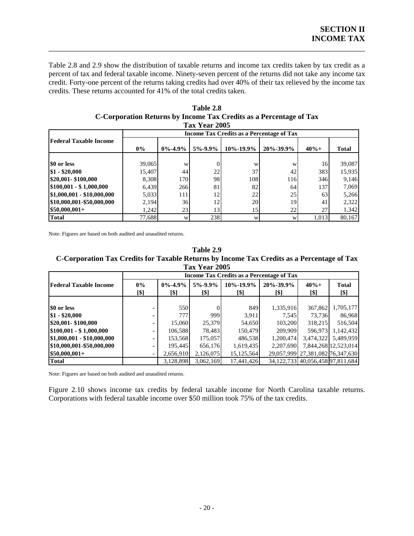Table 2.8 and 2.9 show the distribution of taxable returns and income tax credits taken by tax credit as a percent of tax and federal taxable income. Ninety-seven percent of the returns did not take any income tax credit. Forty-one percent of the returns taking credits had over 40% of their tax relieved by the income tax credits. These returns accounted for 41% of the total credits taken.

<span id="page-23-0"></span>\_\_\_\_\_\_\_\_\_\_\_\_\_\_\_\_\_\_\_\_\_\_\_\_\_\_\_\_\_\_\_\_\_\_\_\_\_\_\_\_\_\_\_\_\_\_\_\_\_\_\_\_\_\_\_\_\_\_\_\_\_\_\_\_\_\_\_\_\_\_\_\_\_\_\_\_\_\_

| Tax Year 2005                 |        |               |                                                  |                 |             |         |              |
|-------------------------------|--------|---------------|--------------------------------------------------|-----------------|-------------|---------|--------------|
|                               |        |               | <b>Income Tax Credits as a Percentage of Tax</b> |                 |             |         |              |
| <b>Federal Taxable Income</b> |        |               |                                                  |                 |             |         |              |
|                               | $0\%$  | $0\% - 4.9\%$ | $5\% - 9.9\%$                                    | $10\% - 19.9\%$ | 20\%-39.9\% | $40% +$ | <b>Total</b> |
|                               |        |               |                                                  |                 |             |         |              |
| \$0 or less                   | 39,065 | W             |                                                  | W               | W           | 16      | 39,087       |
| $$1 - $20,000$                | 15.407 | 44            | 22                                               | 37              | 42          | 383     | 15,935       |
| \$20,001-\$100,000            | 8,308  | 170           | 98                                               | 108             | 116         | 346     | 9,146        |
| $$100,001 - $1,000,000$       | 6,439  | 266           | 81                                               | 82              | 64I         | 137     | 7,069        |
| \$1,000,001 - \$10,000,000    | 5,033  | 111           | 12                                               | 22              | 25          | 63      | 5,266        |
| \$10,000,001-\$50,000,000     | 2,194  | 36            | 12                                               | 20              | 19          | 41      | 2,322        |
| $$50,000,001+$                | 1,242  | 23            | 13                                               | 15              | 22          | 27      | 1,342        |
| <b>Total</b>                  | 77,688 | W             | 238                                              | W               | W           | 1,013   | 80,167       |

**Table 2.8 C-Corporation Returns by Income Tax Credits as a Percentage of Tax** 

Note: Figures are based on both au dited and unaudited returns.

**C-Corporation Tax Credits for Taxable Returns by Income Tax Credits as a Percentage of Tax Table 2.9 Tax Year 2005** 

|                               | Income Tax Credits as a Percentage of Tax |                       |                       |                         |                         |                                        |                      |  |  |  |
|-------------------------------|-------------------------------------------|-----------------------|-----------------------|-------------------------|-------------------------|----------------------------------------|----------------------|--|--|--|
| <b>Federal Taxable Income</b> | $0\%$<br>[\$]                             | $0\% - 4.9\%$<br>[\$] | $5\% - 9.9\%$<br>[\$] | $10\% - 19.9\%$<br>[\$] | $20\% - 39.9\%$<br>[\$] | $40% +$<br>[\$]                        | <b>Total</b><br>[\$] |  |  |  |
|                               |                                           |                       |                       |                         |                         |                                        |                      |  |  |  |
| \$0 or less                   |                                           | 550                   |                       | 849                     | 1,335,916               | 367,862                                | 1,705,177            |  |  |  |
| $$1 - $20,000$                |                                           | 777                   | 999                   | 3.911                   | 7.545                   | 73.736                                 | 86,968               |  |  |  |
| \$20,001-\$100,000            |                                           | 15,060                | 25,379                | 54,650                  | 103,200                 | 318,215                                | 516,504              |  |  |  |
| $$100,001 - $1,000,000$       | ۰.                                        | 106,588               | 78.483                | 150,479                 | 209,909                 | 596,973                                | 1,142,432            |  |  |  |
| $$1,000,001 - $10,000,000$    | ۰.                                        | 153,568               | 175,057               | 486,538                 | 1.200.474               |                                        | 3,474,322 5,489,959  |  |  |  |
| \$10,000,001-\$50,000,000     | ۰.                                        | 195,445               | 656,176               | 1,619,435               | 2.207.690               |                                        | 7,844,268 12,523,014 |  |  |  |
| $$50,000,001+$                | ٠.                                        | 2,656,910             | 2,126,075             | 15,125,564              |                         | 29,057,999 27,381,082 76,347,630       |                      |  |  |  |
| <b>Total</b>                  |                                           | 3,128,898             | 3,062,169             | 17,441,426              |                         | 34, 122, 733 40, 056, 458 97, 811, 684 |                      |  |  |  |

Note: Figures are based on both au dited and unaudited returns.

Figure 2.10 shows income tax credits by federal taxable income for North Carolina taxable returns. Corporations with federal taxable income over \$50 million took 75% of the tax credits.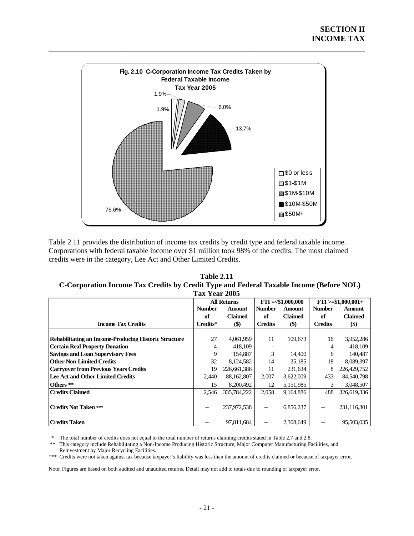<span id="page-24-0"></span>

Table 2.11 provides the distribution of income tax credits by credit type and federal taxable income. Corporations with federal taxable income over \$1 million took 98% of the credits. The most claimed credits were in the category, Lee Act and Other Limited Credits.

| <b>Table 2.11</b>                                                                       |
|-----------------------------------------------------------------------------------------|
| C-Corporation Income Tax Credits by Credit Type and Federal Taxable Income (Before NOL) |
| Tax Year 2005                                                                           |

| тал теат 2009                                         |               |                    |                |                    |                |                       |  |  |  |
|-------------------------------------------------------|---------------|--------------------|----------------|--------------------|----------------|-----------------------|--|--|--|
|                                                       |               | <b>All Returns</b> |                | $FTI = $1,000,000$ |                | $FTI > = $1,000,001+$ |  |  |  |
|                                                       | <b>Number</b> | <b>Amount</b>      | <b>Number</b>  | <b>Amount</b>      | <b>Number</b>  | Amount                |  |  |  |
|                                                       | of            | <b>Claimed</b>     | of             | <b>Claimed</b>     | of             | <b>Claimed</b>        |  |  |  |
| <b>Income Tax Credits</b>                             | Credits*      | \$)                | <b>Credits</b> | $($)$              | <b>Credits</b> | \$)                   |  |  |  |
|                                                       |               |                    |                |                    |                |                       |  |  |  |
| Rehabilitating an Income-Producing Historic Structure | 27            | 4,061,959          | 11             | 109,673            | 16             | 3,952,286             |  |  |  |
| <b>Certain Real Property Donation</b>                 | 4             | 418,109            |                |                    | 4              | 418,109               |  |  |  |
| <b>Savings and Loan Supervisory Fees</b>              | 9             | 154.887            | 3              | 14,400             | 6              | 140,487               |  |  |  |
| <b>Other Non-Limited Credits</b>                      | 32            | 8,124,582          | 14             | 35,185             | 18             | 8,089,397             |  |  |  |
| <b>Carryover from Previous Years Credits</b>          | 19            | 226,661,386        | 11             | 231,634            | 8              | 226,429,752           |  |  |  |
| Lee Act and Other Limited Credits                     | 2,440         | 88,162,807         | 2,007          | 3,622,009          | 433            | 84,540,798            |  |  |  |
| Others **                                             | 15            | 8,200,492          | 12             | 5,151,985          | 3              | 3,048,507             |  |  |  |
| <b>Credits Claimed</b>                                | 2,546         | 335,784,222        | 2,058          | 9,164,886          | 488            | 326,619,336           |  |  |  |
| <b>Credits Not Taken ***</b>                          |               | 237,972,538        |                | 6,856,237          | --             | 231,116,301           |  |  |  |
| <b>Credits Taken</b>                                  |               | 97,811,684         |                | 2,308,649          |                | 95,503,035            |  |  |  |

\* The total number of credits does not equal to the total number of returns claiming credits stated in Table 2.7 and 2.8.

 Reinvestment by Major Recycling Facilities. \*\* This category include Rehabilitating a Non-Income Producing Historic Structure, Major Computer Manufacturing Facilities, and

\*\*\* Credits were not taken against tax because taxpayer's liability was less than the amount of credits claimed or because of taxpayer error.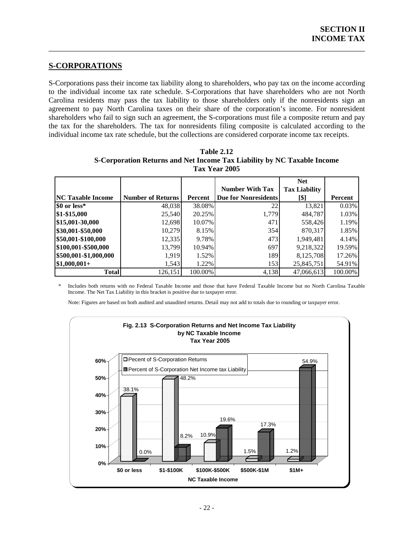### **S-CORPORATIONS**

S-Corporations pass their income tax liability along to shareholders, who pay tax on the income according to the individual income tax rate schedule. S-Corporations that have shareholders who are not North Carolina residents may pass the tax liability to those shareholders only if the nonresidents sign an agreement to pay North Carolina taxes on their share of the corporation's income. For nonresident shareholders who fail to sign such an agreement, the S-corporations must file a composite return and pay the tax for the shareholders. The tax for nonresidents filing composite is calculated according to the individual income tax rate schedule, but the collections are considered corporate income tax receipts.

<span id="page-25-0"></span>\_\_\_\_\_\_\_\_\_\_\_\_\_\_\_\_\_\_\_\_\_\_\_\_\_\_\_\_\_\_\_\_\_\_\_\_\_\_\_\_\_\_\_\_\_\_\_\_\_\_\_\_\_\_\_\_\_\_\_\_\_\_\_\_\_\_\_\_\_\_\_\_\_\_\_\_\_\_

|                          |                          |         |                             | <b>Net</b>           |         |  |  |  |  |
|--------------------------|--------------------------|---------|-----------------------------|----------------------|---------|--|--|--|--|
|                          |                          |         | <b>Number With Tax</b>      | <b>Tax Liability</b> |         |  |  |  |  |
| <b>NC Taxable Income</b> | <b>Number of Returns</b> | Percent | <b>Due for Nonresidents</b> | [\$]                 | Percent |  |  |  |  |
| \$0 or less*             | 48,038                   | 38.08%  | 22                          | 13,821               | 0.03%   |  |  |  |  |
| \$1-\$15,000             | 25,540                   | 20.25%  | 1,779                       | 484,787              | 1.03%   |  |  |  |  |
| \$15,001-30,000          | 12,698                   | 10.07%  | 471                         | 558,426              | 1.19%   |  |  |  |  |
| \$30,001-\$50,000        | 10,279                   | 8.15%   | 354                         | 870,317              | 1.85%   |  |  |  |  |
| \$50,001-\$100,000       | 12,335                   | 9.78%   | 473                         | 1,949,481            | 4.14%   |  |  |  |  |
| \$100,001-\$500,000      | 13.799                   | 10.94%  | 697                         | 9,218,322            | 19.59%  |  |  |  |  |
| \$500,001-\$1,000,000    | 1,919                    | 1.52%   | 189                         | 8,125,708            | 17.26%  |  |  |  |  |
| $$1,000,001+$            | 1,543                    | 1.22%   | 153                         | 25,845,751           | 54.91%  |  |  |  |  |
| <b>Total</b>             | 126,151                  | 100.00% | 4,138                       | 47,066,613           | 100.00% |  |  |  |  |

**Table 2.12 S-Corporation Returns and Net Income Tax Liability by NC Taxable Income Tax Year 2005** 

\* Includes both returns with no Federal Taxable Income and those that have Federal Taxable Income but no North Carolina Taxable Income. The Net Tax Liability in this bracket is positive due to taxpayer error.

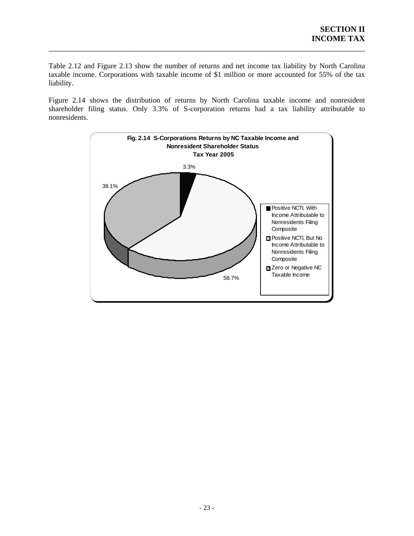Table 2.12 and Figure 2.13 show the number of returns and net income tax liability by North Carolina taxable income. Corporations with taxable income of \$1 million or more accounted for 55% of the tax liability.

<span id="page-26-0"></span>\_\_\_\_\_\_\_\_\_\_\_\_\_\_\_\_\_\_\_\_\_\_\_\_\_\_\_\_\_\_\_\_\_\_\_\_\_\_\_\_\_\_\_\_\_\_\_\_\_\_\_\_\_\_\_\_\_\_\_\_\_\_\_\_\_\_\_\_\_\_\_\_\_\_\_\_\_\_

Figure 2.14 shows the distribution of returns by North Carolina taxable income and nonresident shareholder filing status. Only 3.3% of S-corporation returns had a tax liability attributable to nonresidents.

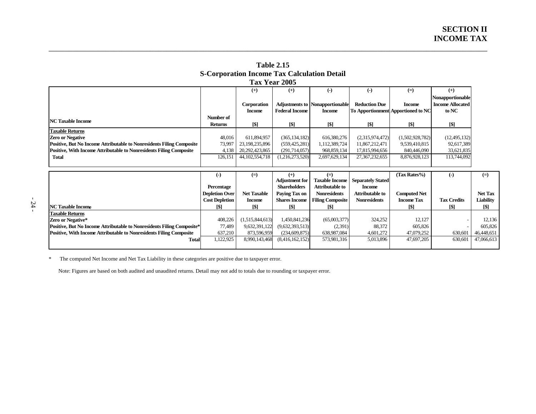| 5-Cui puratiun filcume Tax Calculatiun Detail                                |                |                   |                       |                                        |                                                  |                                    |                         |  |  |  |  |
|------------------------------------------------------------------------------|----------------|-------------------|-----------------------|----------------------------------------|--------------------------------------------------|------------------------------------|-------------------------|--|--|--|--|
| Tax Year 2005                                                                |                |                   |                       |                                        |                                                  |                                    |                         |  |  |  |  |
|                                                                              |                | $^{(+)}$          | $(+)$                 | $(-)$                                  | $(-)$                                            | $(=)$                              | $^{(+)}$                |  |  |  |  |
|                                                                              |                |                   |                       |                                        |                                                  |                                    | Nonapportionable        |  |  |  |  |
|                                                                              |                | Corporation       |                       | <b>Adjustments to Nonapportionable</b> | <b>Reduction Due</b>                             | <b>Income</b>                      | <b>Income Allocated</b> |  |  |  |  |
|                                                                              |                | <b>Income</b>     | <b>Federal Income</b> | <b>Income</b>                          |                                                  | To Apportionment Apportioned to NC | to NC                   |  |  |  |  |
| <b>INC Taxable Income</b>                                                    | Number of      |                   |                       |                                        |                                                  |                                    |                         |  |  |  |  |
|                                                                              | <b>Returns</b> | [\$]              | [\$]                  | <b>T\$1</b>                            | <b>S1</b>                                        | [\$]                               | [\$]                    |  |  |  |  |
| <b>Taxable Returns</b>                                                       |                |                   |                       |                                        |                                                  |                                    |                         |  |  |  |  |
| <b>Zero or Negative</b>                                                      | 48.016         | 611,894,957       | (365, 134, 182)       | 616,380,276                            | (2,315,974,472)                                  | (1,502,928,782)                    | (12, 495, 132)          |  |  |  |  |
| <b>Positive, But No Income Attributable to Nonresidents Filing Composite</b> | 73,997         | 23,198,235,896    | (559, 425, 281)       | 1,112,389,724                          | 11,867,212,471                                   | 9,539,410,815                      | 92,617,389              |  |  |  |  |
| Positive, With Income Attributable to Nonresidents Filing Composite          | 4.138          | 20, 292, 423, 865 | (291,714,057)         | 968,859,134                            | 17,815,994,656                                   | 840,446,090                        | 33,621,835              |  |  |  |  |
| Total                                                                        | 126.151        | 44, 102, 554, 718 | (1,216,273,520)       | 2,697,629,134                          | 27, 367, 232, 655                                | 8,876,928,123                      | 113,744,092             |  |  |  |  |
|                                                                              |                |                   |                       |                                        |                                                  |                                    |                         |  |  |  |  |
|                                                                              |                |                   |                       |                                        |                                                  |                                    |                         |  |  |  |  |
|                                                                              | $(-)$          | $(=)$             |                       | $(=)$                                  | Adiversion foul Toyothe Income Repayately Ctoted | (Tax Rates%)                       | $(-)$                   |  |  |  |  |

| <b>Table 2.15</b>                                  |
|----------------------------------------------------|
| <b>S-Corporation Income Tax Calculation Detail</b> |
| Tax Year 2005                                      |

\_\_\_\_\_\_\_\_\_\_\_\_\_\_\_\_\_\_\_\_\_\_\_\_\_\_\_\_\_\_\_\_\_\_\_\_\_\_\_\_\_\_\_\_\_\_\_\_\_\_\_\_\_\_\_\_\_\_\_\_\_\_\_\_\_\_\_\_\_\_\_\_\_\_\_\_\_\_\_\_\_\_\_\_\_\_\_\_\_\_\_\_\_\_\_\_\_\_\_\_\_\_\_\_\_\_\_\_

|                                                                               | (-)                   | $(=)$              |                       |                         |                          | (Tax Rates% )       | (-)                | $(=)$          |
|-------------------------------------------------------------------------------|-----------------------|--------------------|-----------------------|-------------------------|--------------------------|---------------------|--------------------|----------------|
|                                                                               |                       |                    | <b>Adjustment for</b> | <b>Taxable Income</b>   | <b>Separately Stated</b> |                     |                    |                |
|                                                                               | Percentage            |                    | <b>Shareholders</b>   | <b>Attributable to</b>  | <b>Income</b>            |                     |                    |                |
|                                                                               | <b>Depletion Over</b> | <b>Net Taxable</b> | Paying Tax on         | <b>Nonresidents</b>     | <b>Attributable to</b>   | <b>Computed Net</b> |                    | <b>Net Tax</b> |
|                                                                               | <b>Cost Depletion</b> | <b>Income</b>      | <b>Shares Income</b>  | <b>Filing Composite</b> | <b>Nonresidents</b>      | <b>Income Tax</b>   | <b>Tax Credits</b> | Liability      |
| <b>NC Taxable Income</b>                                                      | [\$]                  | [\$]               | $\lceil \$ \rceil$    | [\$]                    |                          | [\$]                |                    | [\$]           |
| <b>Taxable Returns</b>                                                        |                       |                    |                       |                         |                          |                     |                    |                |
| <b>Zero or Negative*</b>                                                      | 408.226               | (1,515,844,613)    | 1,450,841,236         | (65,003,377)            | 324,252                  | 12.127              |                    | 12.136         |
| <b>Positive, But No Income Attributable to Nonresidents Filing Composite*</b> | 77.489                | 9,632,391,122      | (9,632,393,513)       | (2,391)                 | 88,372                   | 605.826             |                    | 605.826        |
| <b>Positive, With Income Attributable to Nonresidents Filing Composite</b>    | 637,210               | 873,596,959        | (234,609,875)         | 638,987,084             | 4,601,272                | 47,079,252          | 630,601            | 46,448,651     |
| Total                                                                         | 1,122,925             | 8,990,143,468      | (8,416,162,152)       | 573,981,316             | 5,013,896                | 47,697,205          | 630,601            | 47,066,613     |
|                                                                               |                       |                    |                       |                         |                          |                     |                    |                |

<span id="page-27-0"></span>\* The computed Net Income and Net Tax Liability in these categories are positive due to taxpayer error.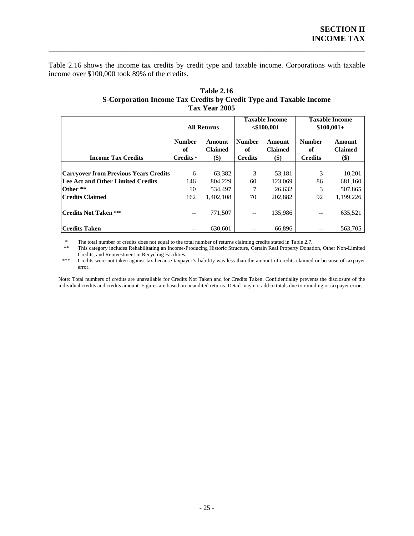Table 2.16 shows the income tax credits by credit type and taxable income. Corporations with taxable income over \$100,000 took 89% of the credits.

<span id="page-28-0"></span>\_\_\_\_\_\_\_\_\_\_\_\_\_\_\_\_\_\_\_\_\_\_\_\_\_\_\_\_\_\_\_\_\_\_\_\_\_\_\_\_\_\_\_\_\_\_\_\_\_\_\_\_\_\_\_\_\_\_\_\_\_\_\_\_\_\_\_\_\_\_\_\_\_\_\_\_\_\_

|                                              | <b>All Returns</b>               |                                 |                                       | <b>Taxable Income</b><br>$<$ \$100,001 | <b>Taxable Income</b><br>$$100,001+$  |                                 |
|----------------------------------------------|----------------------------------|---------------------------------|---------------------------------------|----------------------------------------|---------------------------------------|---------------------------------|
| <b>Income Tax Credits</b>                    | <b>Number</b><br>of<br>Credits * | Amount<br><b>Claimed</b><br>\$) | <b>Number</b><br>of<br><b>Credits</b> | Amount<br><b>Claimed</b><br>\$)        | <b>Number</b><br>of<br><b>Credits</b> | Amount<br><b>Claimed</b><br>\$) |
|                                              |                                  |                                 |                                       |                                        |                                       |                                 |
| <b>Carryover from Previous Years Credits</b> | 6                                | 63,382                          | 3                                     | 53,181                                 | 3                                     | 10,201                          |
| Lee Act and Other Limited Credits            | 146                              | 804,229                         | 60                                    | 123,069                                | 86                                    | 681,160                         |
| Other **                                     | 10                               | 534.497                         |                                       | 26,632                                 | 3                                     | 507,865                         |
| <b>Credits Claimed</b>                       | 162                              | 1,402,108                       | 70                                    | 202,882                                | 92                                    | 1,199,226                       |
| <b>Credits Not Taken ***</b>                 | --                               | 771.507                         | --                                    | 135,986                                | $-\,-$                                | 635,521                         |
| <b>Credits Taken</b>                         | $-$                              | 630.601                         |                                       | 66.896                                 |                                       | 563,705                         |

### **Table 2.16 S-Corporation Income Tax Credits by Credit Type and Taxable Income Tax Year 2005**

\* The total number of credits does not equal to the total number of returns claiming credits stated in Table 2.7.

This category includes Rehabilitating an Income-Producing Historic Structure, Certain Real Property Donation, Other Non-Limited Credits, and Reinvestment in Recycling Facilities. \*\*

\*\*\* Credits were not taken against tax because taxpayer's liability was less than the amount of credits claimed or because of taxpayer error. \*\*\*

Note: Total numbers of credits are unavailable for Credits Not Taken and for Credits Taken. Confidentiality prevents the disclosure of the individual credits and credits amount. Figures are based on unaudited returns. Detail may not add to totals due to rounding or taxpayer error.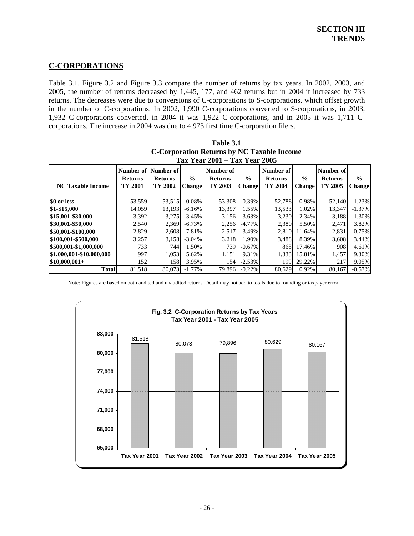### **C-CORPORATIONS**

Table 3.1, Figure 3.2 and Figure 3.3 compare the number of returns by tax years. In 2002, 2003, and 2005, the number of returns decreased by 1,445, 177, and 462 returns but in 2004 it increased by 733 returns. The decreases were due to conversions of C-corporations to S-corporations, which offset growth in the number of C-corporations. In 2002, 1,990 C-corporations converted to S-corporations, in 2003, 1,932 C-corporations converted, in 2004 it was 1,922 C-corporations, and in 2005 it was 1,711 Ccorporations. The increase in 2004 was due to 4,973 first time C-corporation filers.

<span id="page-29-0"></span>\_\_\_\_\_\_\_\_\_\_\_\_\_\_\_\_\_\_\_\_\_\_\_\_\_\_\_\_\_\_\_\_\_\_\_\_\_\_\_\_\_\_\_\_\_\_\_\_\_\_\_\_\_\_\_\_\_\_\_\_\_\_\_\_\_\_\_\_\_\_\_\_\_\_\_\_\_\_

| $1.88$ real $2001 - 1.88$ real $2005$ |                |                |               |                |               |                |               |                |               |  |
|---------------------------------------|----------------|----------------|---------------|----------------|---------------|----------------|---------------|----------------|---------------|--|
|                                       | Number of      | Number of      |               | Number of      |               | Number of      |               | Number of      |               |  |
|                                       | <b>Returns</b> | <b>Returns</b> | $\frac{0}{0}$ | <b>Returns</b> | $\frac{6}{9}$ | <b>Returns</b> | $\frac{6}{9}$ | <b>Returns</b> | $\frac{0}{0}$ |  |
| <b>NC Taxable Income</b>              | TY 2001        | TY 2002        | Change        | TY 2003        | <b>Change</b> | TY 2004        | Change        | TY 2005        | <b>Change</b> |  |
|                                       |                |                |               |                |               |                |               |                |               |  |
| \$0 or less                           | 53,559         | 53.515         | $-0.08\%$     | 53,308         | $-0.39%$      | 52,788         | $-0.98\%$     | 52,140         | $-1.23%$      |  |
| \$1-\$15,000                          | 14,059         | 13.193         | $-6.16%$      | 13,397         | 1.55%         | 13,533         | 1.02%         | 13,347         | $-1.37\%$     |  |
| \$15,001-\$30,000                     | 3,392          | 3,275          | $-3.45%$      | 3,156          | $-3.63\%$     | 3,230          | 2.34%         | 3,188          | $-1.30%$      |  |
| 830,001-\$50,000                      | 2,540          | 2,369          | $-6.73\%$     | 2,256          | $-4.77\%$     | 2,380          | 5.50%         | 2,471          | 3.82%         |  |
| \$50,001-\$100,000                    | 2,829          | 2.608          | $-7.81%$      | 2,517          | $-3.49\%$     | 2.810          | 11.64%        | 2,831          | 0.75%         |  |
| \$100,001-\$500,000                   | 3,257          | 3.158          | $-3.04\%$     | 3,218          | 1.90%         | 3.488          | 8.39%         | 3,608          | 3.44%         |  |
| \$500,001-\$1,000,000                 | 7331           | 744            | 1.50%         | 739            | $-0.67\%$     | 868            | 17.46%        | 908            | 4.61%         |  |
| \$1,000,001-\$10,000,000              | 997            | 1.053          | 5.62%         | 1,151          | 9.31%         | 1.333          | 15.81%        | 1,457          | 9.30%         |  |
| $$10,000,001+$                        | 152            | 158            | 3.95%         | 154            | $-2.53%$      | 199            | 29.22%        | 217            | 9.05%         |  |
| Total                                 | 81,518         | 80.073         | $-1.77\%$     | 79,896         | $-0.22%$      | 80,629         | 0.92%         | 80.167         | $-0.57\%$     |  |

| Table 3.1                                  |
|--------------------------------------------|
| C-Corporation Returns by NC Taxable Income |
| Tax Year 2001 – Tax Year 2005              |

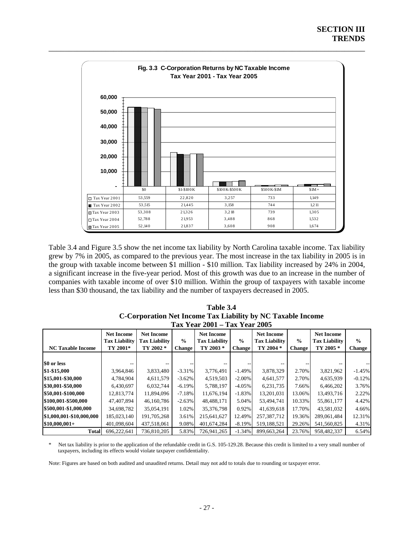<span id="page-30-0"></span>

Table 3.4 and Figure 3.5 show the net income tax liability by North Carolina taxable income. Tax liability grew by 7% in 2005, as compared to the previous year. The most increase in the tax liability in 2005 is in the group with taxable income between \$1 million - \$10 million. Tax liability increased by 24% in 2004, a significant increase in the five-year period. Most of this growth was due to an increase in the number of companies with taxable income of over \$10 million. Within the group of taxpayers with taxable income less th an \$30 thousand, the tax liability and the number of taxpayers decreased in 2005.

| Table 3.4                                                   |
|-------------------------------------------------------------|
| C-Corporation Net Income Tax Liability by NC Taxable Income |
| Tax Year 2001 – Tax Year 2005                               |

| $\mathbf{1}$ ux 1 cui 2000 |                                           |                                           |               |                                           |               |                                           |               |                                           |               |
|----------------------------|-------------------------------------------|-------------------------------------------|---------------|-------------------------------------------|---------------|-------------------------------------------|---------------|-------------------------------------------|---------------|
|                            | <b>Net Income</b><br><b>Tax Liability</b> | <b>Net Income</b><br><b>Tax Liability</b> | $\frac{0}{0}$ | <b>Net Income</b><br><b>Tax Liability</b> | $\frac{0}{0}$ | <b>Net Income</b><br><b>Tax Liability</b> | $\frac{6}{9}$ | <b>Net Income</b><br><b>Tax Liability</b> | $\frac{6}{6}$ |
| <b>NC Taxable Income</b>   | TY 2001*                                  | TY 2002 *                                 | Change        | TY 2003 *                                 | <b>Change</b> | TY 2004 *                                 | <b>Change</b> | TY 2005 *                                 | <b>Change</b> |
|                            |                                           |                                           |               |                                           |               |                                           |               |                                           |               |
| \$0 or less                |                                           |                                           |               |                                           |               |                                           |               |                                           |               |
| \$1-\$15,000               | 3,964,846                                 | 3,833,480                                 | $-3.31\%$     | 3,776,491                                 | $-1.49%$      | 3,878,329                                 | 2.70%         | 3,821,962                                 | $-1.45%$      |
| \$15,001-\$30,000          | 4,784,904                                 | 4,611,579                                 | $-3.62%$      | 4,519,503                                 | $-2.00\%$     | 4,641,577                                 | 2.70%         | 4,635,939                                 | $-0.12%$      |
| \$30,001-\$50,000          | 6,430,697                                 | 6,032,744                                 | $-6.19\%$     | 5,788,197                                 | $-4.05\%$     | 6,231,735                                 | 7.66%         | 6,466,202                                 | 3.76%         |
| \$50,001-\$100,000         | 12,813,774                                | 11,894,096                                | $-7.18\%$     | 11.676.194                                | $-1.83%$      | 13.201.031                                | 13.06%        | 13,493,716                                | 2.22%         |
| \$100,001-\$500,000        | 47,407,894                                | 46,160,786                                | $-2.63%$      | 48,488,171                                | 5.04%         | 53,494,741                                | 10.33%        | 55,861,177                                | 4.42%         |
| \$500,001-\$1,000,000      | 34,698,782                                | 35,054,191                                | 1.02%         | 35,376,798                                | 0.92%         | 41,639,618                                | 17.70%        | 43,581,032                                | 4.66%         |
| \$1,000,001-\$10,000,000   | 185,023,140                               | 191,705,268                               | 3.61%         | 215,641,627                               | 12.49%        | 257.387.712                               | 19.36%        | 289,061,484                               | 12.31%        |
| $$10,000,001+$             | 401,098,604                               | 437,518,061                               | 9.08%         | 401,674,284                               | $-8.19\%$     | 519,188,521                               | 29.26%        | 541,560,825                               | 4.31%         |
| <b>Total</b>               | 696.222.641                               | 736,810,205                               | 5.83%         | 726.941.265                               | $-1.34%$      | 899.663.264                               | 23.76%        | 958,482,337                               | 6.54%         |

Net tax liability is prior to the application of the refundable credit in G.S. 105-129.28. Because this credit is limited to a very small number of taxpayers, including its effects would violate taxpayer confidentiality.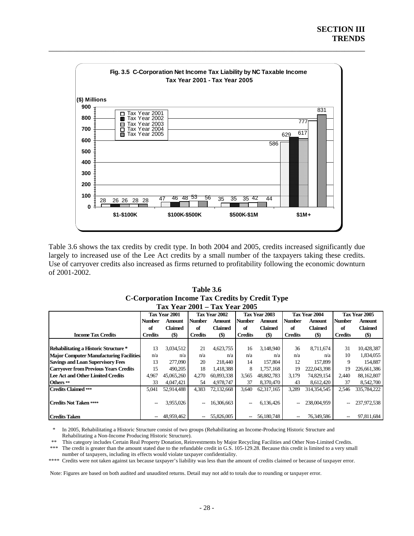<span id="page-31-0"></span>

Table 3.6 shows the tax credits by credit type. In both 2004 and 2005, credits increased significantly due largely to increased use of the Lee Act credits by a small number of the taxpayers taking these credits. Use of carryover credits also increased as firms returned to profitability following the economic downturn of 2001-2002.

| Table 3.6                                       |
|-------------------------------------------------|
| C-Corporation Income Tax Credits by Credit Type |
| Tax Year 2001 – Tax Year 2005                   |

|                                                |                | Tax Year 2001 |                | Tax Year 2002 | Tax Year 2003            |            | Tax Year 2004  |                | Tax Year 2005  |                |
|------------------------------------------------|----------------|---------------|----------------|---------------|--------------------------|------------|----------------|----------------|----------------|----------------|
|                                                | <b>Number</b>  | Amount        | <b>Number</b>  | <b>Amount</b> | <b>Number</b>            | Amount     | <b>Number</b>  | Amount         | <b>Number</b>  | <b>Amount</b>  |
|                                                | of             | Claimed       | of             | Claimed       | of                       | Claimed    | of             | <b>Claimed</b> | of             | <b>Claimed</b> |
| <b>Income Tax Credits</b>                      | <b>Credits</b> | $($)$         | <b>Credits</b> | $($ \$)       | <b>Credits</b>           | $($)$      | <b>Credits</b> | $(\$)$         | <b>Credits</b> | $($)$          |
|                                                |                |               |                |               |                          |            |                |                |                |                |
| Rehabilitating a Historic Structure *          | 13             | 3,034,512     | 21             | 4,623,755     | 16                       | 3,148,940  | 36             | 8,711,674      | 31             | 10,428,387     |
| <b>Major Computer Manufacturing Facilities</b> | n/a            | n/a           | n/a            | n/a           | n/a                      | n/a        | n/a            | n/a            | 10             | 1,834,055      |
| <b>Savings and Loan Supervisory Fees</b>       | 13             | 277,090       | 20             | 218,440       | 14                       | 157,804    | 12             | 157,899        | 9              | 154,887        |
| <b>Carryover from Previous Years Credits</b>   | 15             | 490,205       | 18             | 1.418.388     | 8                        | 1.757.168  | 19             | 222,043,398    | 19             | 226,661,386    |
| Lee Act and Other Limited Credits              | 4,967          | 45,065,260    | 4.270          | 60.893.338    | 3,565                    | 48,882,783 | 3,179          | 74,829,154     | 2,440          | 88,162,807     |
| Others **                                      | 33             | 4,047,421     | 54             | 4,978,747     | 37                       | 8,370,470  | 43             | 8,612,420      | 37             | 8,542,700      |
| Credits Claimed ***                            | 5,041          | 52,914,488    | 4,383          | 72,132,668    | 3,640                    | 62,317,165 | 3,289          | 314.354.545    | 2,546          | 335,784,222    |
|                                                |                |               |                |               |                          |            |                |                |                |                |
| Credits Not Taken ****                         |                | 3,955,026     | $ \!-$         | 16,306,663    | $-$                      | 6,136,426  | $\overline{a}$ | 238,004.959    | --             | 237,972,538    |
| <b>Credits Taken</b>                           |                | 48,959,462    | $ \!-$         | 55,826,005    | $\overline{\phantom{a}}$ | 56,180,748 | --             | 76,349,586     | --             | 97,811,684     |

 \* In 2005, Rehabilitating a Historic Structure consist of two groups (Rehabilitating an Income-Producing Historic Structure and Rehabilitating a Non-Income Producing Historic Structure).

This category includes Certain Real Property Donation, Reinvestments by Major Recycling Facilities and Other Non-Limited Credits.

\*\*\* The credit is greater than the amount stated due to the refundable credit in G.S. 105-129.28. Because this credit is limited to a very small number of taxpayers, including its effects would violate taxpayer confidentiality.

\*\*\*\* Credits were not taken against tax because taxpayer's liability was less than the amount of credits claimed or because of taxpayer error.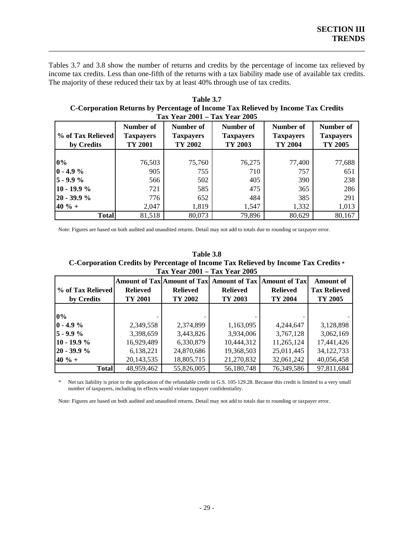Tables 3.7 and 3.8 show the number of returns and credits by the percentage of income tax relieved by income tax credits. Less than one-fifth of the returns with a tax liability made use of available tax credits. The majority of these reduced their tax by at least 40% through use of tax credits.

<span id="page-32-0"></span>\_\_\_\_\_\_\_\_\_\_\_\_\_\_\_\_\_\_\_\_\_\_\_\_\_\_\_\_\_\_\_\_\_\_\_\_\_\_\_\_\_\_\_\_\_\_\_\_\_\_\_\_\_\_\_\_\_\_\_\_\_\_\_\_\_\_\_\_\_\_\_\_\_\_\_\_\_\_

**Table 3.7 C-Corporation Returns by Percentage of Income Tax Relieved by Income Tax Credits Ta x Year 2001 – Tax Year 2005** 

| % of Tax Relieved<br>by Credits | Number of<br><b>Taxpayers</b><br>TY 2001 | Number of<br><b>Taxpayers</b><br>TY 2002 | Number of<br><b>Taxpayers</b><br>TY 2003 | Number of<br><b>Taxpayers</b><br>TY 2004 | Number of<br><b>Taxpayers</b><br>TY 2005 |
|---------------------------------|------------------------------------------|------------------------------------------|------------------------------------------|------------------------------------------|------------------------------------------|
|                                 |                                          |                                          |                                          |                                          |                                          |
| $0\%$                           | 76,503                                   | 75,760                                   | 76,275                                   | 77,400                                   | 77,688                                   |
| $0 - 4.9 \%$                    | 905                                      | 755                                      | 710                                      | 757                                      | 651                                      |
| $5 - 9.9%$                      | 566                                      | 502                                      | 405                                      | 390                                      | 238                                      |
| $10 - 19.9%$                    | 721                                      | 585                                      | 475                                      | 365                                      | 286                                      |
| $20 - 39.9 %$                   | 776                                      | 652                                      | 484                                      | 385                                      | 291                                      |
| $40 \% +$                       | 2,047                                    | 1,819                                    | 1,547                                    | 1,332                                    | 1,013                                    |
| <b>Total</b>                    | 81,518                                   | 80,073                                   | 79,896                                   | 80,629                                   | 80,167                                   |

Note: Figures are based on both audited and unaudited returns. Detail may not add to totals due to rounding or taxpayer error.

| Table 3.8                                                                                  |
|--------------------------------------------------------------------------------------------|
| <b>C</b> -Corporation Credits by Percentage of Income Tax Relieved by Income Tax Credits * |
| Tax Year 2001 – Tax Year 2005                                                              |

|                                  |                 | <b>Amount of Tax Amount of Tax</b> | <b>Amount of Tax   Amount of Tax </b> |                 | <b>Amount of</b>    |
|----------------------------------|-----------------|------------------------------------|---------------------------------------|-----------------|---------------------|
| <b>Solute 19 of Tax Relieved</b> | <b>Relieved</b> | <b>Relieved</b>                    | <b>Relieved</b>                       | <b>Relieved</b> | <b>Tax Relieved</b> |
| by Credits                       | TY 2001         |                                    | TY 2003                               | TY 2004         | TY 2005             |
|                                  |                 |                                    |                                       |                 |                     |
| $0\%$                            |                 |                                    |                                       |                 |                     |
| $0 - 4.9 %$                      | 2,349,558       | 2,374,899                          | 1,163,095                             | 4,244,647       | 3,128,898           |
| $5 - 9.9%$                       | 3,398,659       | 3,443,826                          | 3,934,006                             | 3,767,128       | 3,062,169           |
| $10 - 19.9%$                     | 16,929,489      | 6,330,879                          | 10,444,312                            | 11,265,124      | 17,441,426          |
| $20 - 39.9 %$                    | 6,138,221       | 24,870,686                         | 19,368,503                            | 25,011,445      | 34,122,733          |
| $40 \% +$                        | 20,143,535      | 18,805,715                         | 21,270,832                            | 32,061,242      | 40,056,458          |
| <b>Total</b>                     | 48,959,462      | 55,826,005                         | 56,180,748                            | 76,349,586      | 97,811,684          |

\* Net tax liability is prior to the application of the refundable credit in G.S. 105-129.28. Because this credit is limited to a very small number of taxpayers, including its effects would violate taxpayer confidentiality.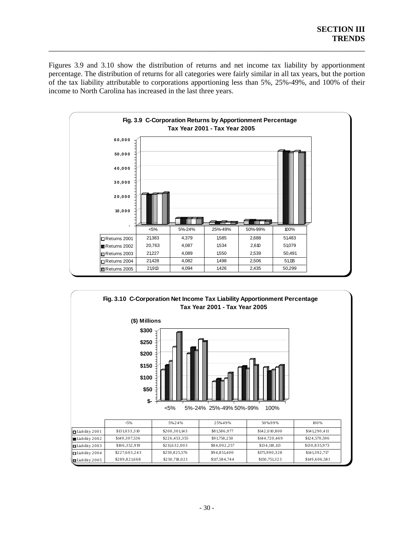<span id="page-33-0"></span>Figures 3.9 and 3.10 show the distribution of returns and net income tax liability by apportionment percentage. The distribution of returns for all categories were fairly similar in all tax years, but the portion of the tax liability attributable to corporations apportioning less than 5%, 25%-49%, and 100% of their income to North Carolina has increased in the last three years.



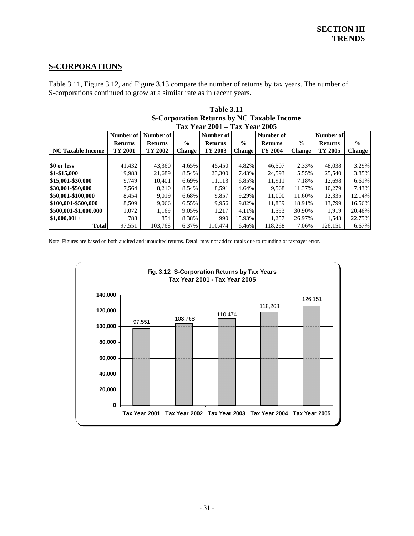### **S-CORPORATIONS**

Table 3.11, Figure 3.12, and Figure 3.13 compare the number of returns by tax years. The number of S-corporations continued to grow at a similar rate as in recent years.

<span id="page-34-0"></span>\_\_\_\_\_\_\_\_\_\_\_\_\_\_\_\_\_\_\_\_\_\_\_\_\_\_\_\_\_\_\_\_\_\_\_\_\_\_\_\_\_\_\_\_\_\_\_\_\_\_\_\_\_\_\_\_\_\_\_\_\_\_\_\_\_\_\_\_\_\_\_\_\_\_\_\_\_\_

|                          | Tax Year 2001 – Tax Year 2005 |                |               |                |               |                |               |                |               |  |  |
|--------------------------|-------------------------------|----------------|---------------|----------------|---------------|----------------|---------------|----------------|---------------|--|--|
|                          | Number of                     | Number of      |               | Number of      |               | Number of      |               | Number of      |               |  |  |
|                          | <b>Returns</b>                | <b>Returns</b> | $\frac{0}{0}$ | <b>Returns</b> | $\frac{6}{6}$ | <b>Returns</b> | $\frac{0}{0}$ | <b>Returns</b> | $\frac{0}{0}$ |  |  |
| <b>NC Taxable Income</b> | TY 2001                       | TY 2002        | <b>Change</b> | TY 2003        | <b>Change</b> | TY 2004        | <b>Change</b> | TY 2005        | <b>Change</b> |  |  |
|                          |                               |                |               |                |               |                |               |                |               |  |  |
| \$0 or less              | 41,432                        | 43,360         | 4.65%         | 45,450         | 4.82%         | 46,507         | 2.33%         | 48,038         | 3.29%         |  |  |
| \$1-\$15,000             | 19,983                        | 21,689         | 8.54%         | 23,300         | 7.43%         | 24,593         | 5.55%         | 25,540         | 3.85%         |  |  |
| \$15,001-\$30,000        | 9.749                         | 10.401         | 6.69%         | 11,113         | 6.85%         | 11,911         | 7.18%         | 12.698         | 6.61%         |  |  |
| \$30,001-\$50,000        | 7,564                         | 8.210          | 8.54%         | 8,591          | 4.64%         | 9.568          | 11.37%        | 10.279         | 7.43%         |  |  |
| \$50,001-\$100,000       | 8,454                         | 9,019          | 6.68%         | 9,857          | 9.29%         | 11.000         | 11.60%        | 12,335         | 12.14%        |  |  |
| \$100,001-\$500,000      | 8.509                         | 9.066          | 6.55%         | 9.956          | 9.82%         | 11.839         | 18.91%        | 13.799         | 16.56%        |  |  |
| \$500,001-\$1,000,000    | 1,072                         | 1,169          | 9.05%         | 1,217          | 4.11%         | 1,593          | 30.90%        | 1.919          | 20.46%        |  |  |
| $\$1.000.001+$           | 788                           | 854            | 8.38%         | 990            | 15.93%        | 1,257          | 26.97%        | 1,543          | 22.75%        |  |  |
| <b>Total</b>             | 97,551                        | 103.768        | 6.37%         | 110.474        | 6.46%         | 118.268        | 7.06%         | 126.151        | 6.67%         |  |  |

| <b>Table 3.11</b>                                 |
|---------------------------------------------------|
| <b>S-Corporation Returns by NC Taxable Income</b> |
| Tay Vear 2001 _ Tay Vear 2005                     |

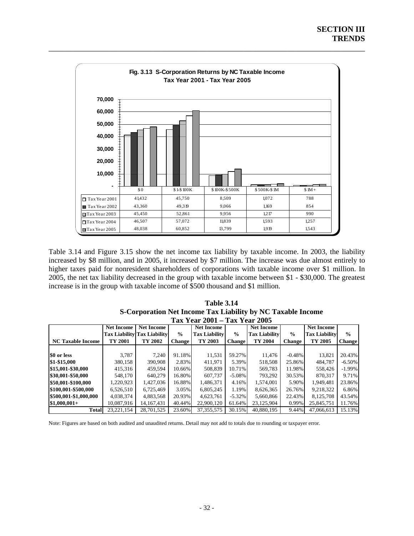<span id="page-35-0"></span>

Table 3.14 and Figure 3.15 show the net income tax liability by taxable income. In 2003, the liability increased by \$8 million, and in 2005, it increased by \$7 million. The increase was due almost entirely to higher taxes paid for nonresident shareholders of corporations with taxable income over \$1 million. In 2005, the net tax liability decreased in the group with taxable income between \$1 - \$30,000. The greatest increase is in the group with taxable income of \$500 thousand and \$1 million.

| <b>Table 3.14</b>                                           |
|-------------------------------------------------------------|
| S-Corporation Net Income Tax Liability by NC Taxable Income |
| Tav Vaar 2001 – Tav Vaar 2005                               |

| $1a\lambda$ 1 cal $2001 = 1a\lambda$ 1 cal $2003$ |                   |                                    |               |                      |               |                      |               |                      |               |  |
|---------------------------------------------------|-------------------|------------------------------------|---------------|----------------------|---------------|----------------------|---------------|----------------------|---------------|--|
|                                                   | <b>Net Income</b> | <b>Net Income</b>                  |               | <b>Net Income</b>    |               | <b>Net Income</b>    |               | <b>Net Income</b>    |               |  |
|                                                   |                   | <b>Tax Liability Tax Liability</b> | $\frac{0}{0}$ | <b>Tax Liability</b> | $\frac{0}{0}$ | <b>Tax Liability</b> | $\frac{0}{0}$ | <b>Tax Liability</b> | $\frac{0}{0}$ |  |
| <b>NC Taxable Income</b>                          | TY 2001           | TY 2002                            | <b>Change</b> | TY 2003              | <b>Change</b> | TY 2004              | <b>Change</b> | TY 2005              | <b>Change</b> |  |
|                                                   |                   |                                    |               |                      |               |                      |               |                      |               |  |
| \$0 or less                                       | 3.787             | 7.240                              | 91.18%        | 11,531               | 59.27%        | 11.476               | $-0.48%$      | 13.821               | 20.43%        |  |
| \$1-\$15,000                                      | 380,158           | 390,908                            | 2.83%         | 411,971              | 5.39%         | 518,508              | 25.86%        | 484.787              | $-6.50%$      |  |
| \$15,001-\$30,000                                 | 415,316           | 459,594                            | 10.66%        | 508,839              | 10.71%        | 569.783              | 11.98%        | 558,426              | $-1.99\%$     |  |
| \$30,001-\$50,000                                 | 548.170           | 640,279                            | 16.80%        | 607.737              | $-5.08\%$     | 793.292              | 30.53%        | 870.317              | 9.71%         |  |
| \$50,001-\$100,000                                | 1,220,923         | 1,427,036                          | 16.88%        | 1.486.371            | 4.16%         | 1.574.001            | 5.90%         | 1.949.481            | 23.86%        |  |
| \$100,001-\$500,000                               | 6,526,510         | 6,725,469                          | 3.05%         | 6,805,245            | 1.19%         | 8,626,365            | 26.76%        | 9.218.322            | 6.86%         |  |
| \$500,001-\$1,000,000                             | 4.038.374         | 4,883,568                          | 20.93%        | 4,623,761            | $-5.32\%$     | 5,660,866            | 22.43%        | 8,125,708            | 43.54%        |  |
| $$1,000,001+$                                     | 10,087,916        | 14, 167, 431                       | 40.44%        | 22,900,120           | 61.64%        | 23,125,904           | 0.99%         | 25,845,751           | 11.76%        |  |
| <b>Total</b>                                      | 23.221.154        | 28.701.525                         | 23.60%        | 37, 355, 575         | 30.15%        | 40.880.195           | 9.44%         | 47,066,613           | 15.13%        |  |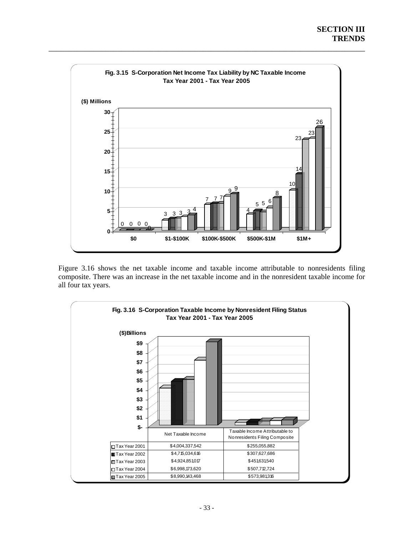<span id="page-36-0"></span>

Figure 3.16 shows the net taxable income and taxable income attributable to nonresidents filing composite. There was an increase in the net taxable income and in the nonresident taxable income for all four tax years.